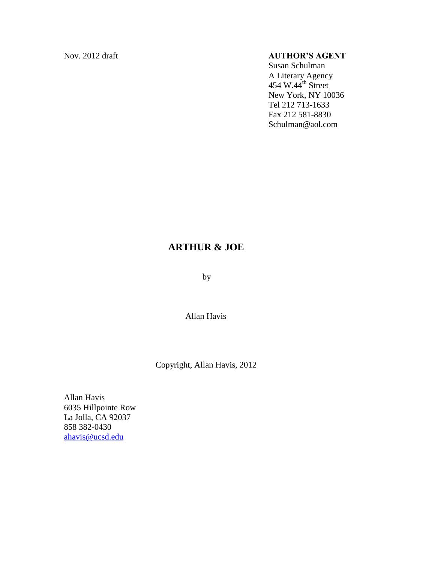### Nov. 2012 draft **AUTHOR'S AGENT**

Susan Schulman A Literary Agency  $454$  W. $44^{\text{th}}$  Street New York, NY 10036 Tel 212 713-1633 Fax 212 581-8830 Schulman@aol.com

## **ARTHUR & JOE**

by

Allan Havis

Copyright, Allan Havis, 2012

Allan Havis 6035 Hillpointe Row La Jolla, CA 92037 858 382-0430 [ahavis@ucsd.edu](mailto:ahavis@ucsd.edu)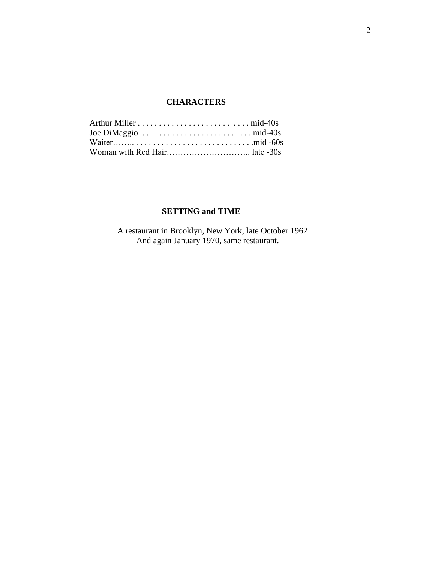### **CHARACTERS**

| Joe DiMaggio $\dots \dots \dots \dots \dots \dots \dots \dots$ mid-40s |  |
|------------------------------------------------------------------------|--|
|                                                                        |  |
|                                                                        |  |

### **SETTING and TIME**

A restaurant in Brooklyn, New York, late October 1962 And again January 1970, same restaurant.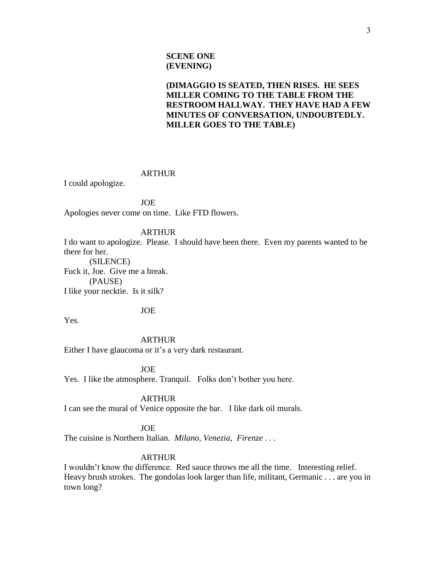### **SCENE ONE (EVENING)**

### **(DIMAGGIO IS SEATED, THEN RISES. HE SEES MILLER COMING TO THE TABLE FROM THE RESTROOM HALLWAY. THEY HAVE HAD A FEW MINUTES OF CONVERSATION, UNDOUBTEDLY. MILLER GOES TO THE TABLE)**

#### ARTHUR

I could apologize.

**JOE** Apologies never come on time. Like FTD flowers.

#### ARTHUR

I do want to apologize. Please. I should have been there. Even my parents wanted to be there for her.

(SILENCE) Fuck it, Joe. Give me a break. (PAUSE) I like your necktie. Is it silk?

#### JOE

Yes.

#### ARTHUR

Either I have glaucoma or it's a very dark restaurant.

JOE

Yes. I like the atmosphere. Tranquil. Folks don't bother you here.

### ARTHUR

I can see the mural of Venice opposite the bar. I like dark oil murals.

#### JOE

The cuisine is Northern Italian*. Milano, Venezia, Firenze* . . .

#### ARTHUR

I wouldn't know the difference. Red sauce throws me all the time. Interesting relief. Heavy brush strokes. The gondolas look larger than life, militant, Germanic . . . are you in town long?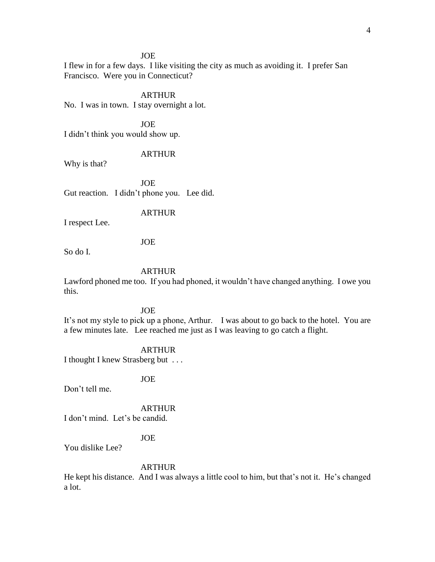I flew in for a few days. I like visiting the city as much as avoiding it. I prefer San Francisco. Were you in Connecticut?

ARTHUR No. I was in town. I stay overnight a lot.

JOE I didn't think you would show up.

### ARTHUR

Why is that?

JOE Gut reaction. I didn't phone you. Lee did.

ARTHUR

I respect Lee.

So do I.

JOE

#### ARTHUR

Lawford phoned me too. If you had phoned, it wouldn't have changed anything. I owe you this.

JOE

It's not my style to pick up a phone, Arthur. I was about to go back to the hotel. You are a few minutes late. Lee reached me just as I was leaving to go catch a flight.

ARTHUR

I thought I knew Strasberg but . . .

JOE

Don't tell me.

ARTHUR

I don't mind. Let's be candid.

### JOE

You dislike Lee?

#### ARTHUR

He kept his distance. And I was always a little cool to him, but that's not it. He's changed a lot.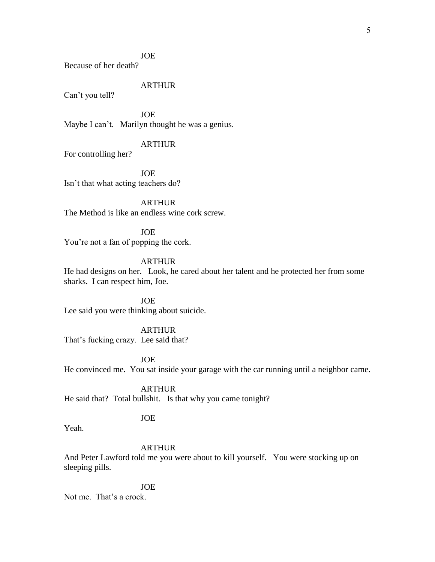Because of her death?

### ARTHUR

Can't you tell?

JOE Maybe I can't. Marilyn thought he was a genius.

#### ARTHUR

For controlling her?

JOE Isn't that what acting teachers do?

ARTHUR The Method is like an endless wine cork screw.

JOE You're not a fan of popping the cork.

### ARTHUR

He had designs on her. Look, he cared about her talent and he protected her from some sharks. I can respect him, Joe.

JOE Lee said you were thinking about suicide.

ARTHUR That's fucking crazy. Lee said that?

JOE He convinced me. You sat inside your garage with the car running until a neighbor came.

ARTHUR He said that? Total bullshit. Is that why you came tonight?

JOE

Yeah.

#### ARTHUR

And Peter Lawford told me you were about to kill yourself. You were stocking up on sleeping pills.

JOE

Not me. That's a crock.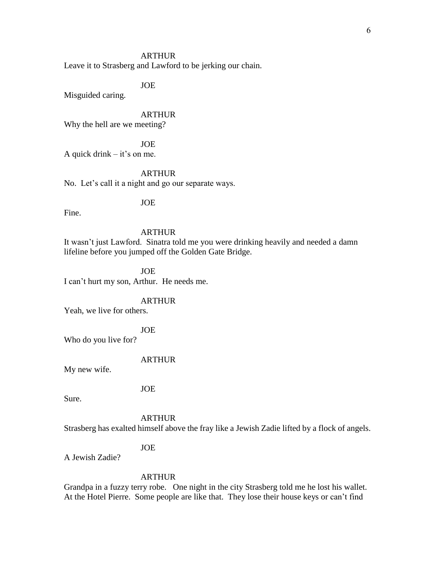Leave it to Strasberg and Lawford to be jerking our chain.

JOE

Misguided caring.

### ARTHUR

Why the hell are we meeting?

#### JOE

A quick drink  $-$  it's on me.

### ARTHUR

No. Let's call it a night and go our separate ways.

#### JOE

Fine.

#### ARTHUR

It wasn't just Lawford. Sinatra told me you were drinking heavily and needed a damn lifeline before you jumped off the Golden Gate Bridge.

JOE I can't hurt my son, Arthur. He needs me.

### ARTHUR

Yeah, we live for others.

#### JOE

Who do you live for?

#### ARTHUR

My new wife.

JOE

Sure.

#### ARTHUR

Strasberg has exalted himself above the fray like a Jewish Zadie lifted by a flock of angels.

JOE

A Jewish Zadie?

#### ARTHUR

Grandpa in a fuzzy terry robe. One night in the city Strasberg told me he lost his wallet. At the Hotel Pierre. Some people are like that. They lose their house keys or can't find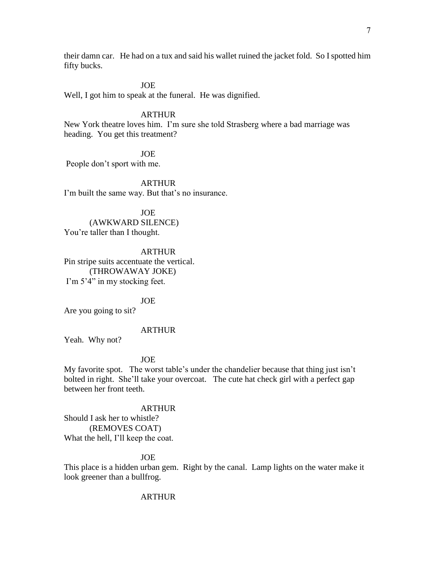their damn car. He had on a tux and said his wallet ruined the jacket fold. So I spotted him fifty bucks.

JOE Well, I got him to speak at the funeral. He was dignified.

### ARTHUR

New York theatre loves him. I'm sure she told Strasberg where a bad marriage was heading. You get this treatment?

JOE People don't sport with me.

ARTHUR I'm built the same way. But that's no insurance.

JOE (AWKWARD SILENCE) You're taller than I thought.

ARTHUR Pin stripe suits accentuate the vertical. (THROWAWAY JOKE) I'm 5'4" in my stocking feet.

JOE

Are you going to sit?

#### ARTHUR

Yeah. Why not?

#### JOE

My favorite spot. The worst table's under the chandelier because that thing just isn't bolted in right. She'll take your overcoat. The cute hat check girl with a perfect gap between her front teeth.

#### ARTHUR

Should I ask her to whistle? (REMOVES COAT) What the hell, I'll keep the coat.

#### JOE

This place is a hidden urban gem. Right by the canal. Lamp lights on the water make it look greener than a bullfrog.

#### ARTHUR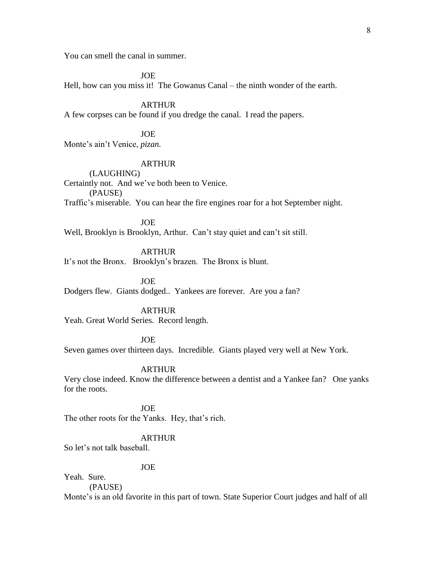You can smell the canal in summer.

JOE

Hell, how can you miss it! The Gowanus Canal – the ninth wonder of the earth.

#### ARTHUR

A few corpses can be found if you dredge the canal. I read the papers.

JOE

Monte's ain't Venice, *pizan.*

### ARTHUR

(LAUGHING) Certaintly not. And we've both been to Venice. (PAUSE) Traffic's miserable. You can hear the fire engines roar for a hot September night.

JOE

Well, Brooklyn is Brooklyn, Arthur. Can't stay quiet and can't sit still.

ARTHUR

It's not the Bronx. Brooklyn's brazen. The Bronx is blunt.

JOE

Dodgers flew. Giants dodged.. Yankees are forever. Are you a fan?

ARTHUR

Yeah. Great World Series. Record length.

JOE

Seven games over thirteen days. Incredible. Giants played very well at New York.

#### ARTHUR

Very close indeed. Know the difference between a dentist and a Yankee fan? One yanks for the roots.

JOE

The other roots for the Yanks. Hey, that's rich.

### ARTHUR

So let's not talk baseball.

#### JOE

Yeah. Sure. (PAUSE)

Monte's is an old favorite in this part of town. State Superior Court judges and half of all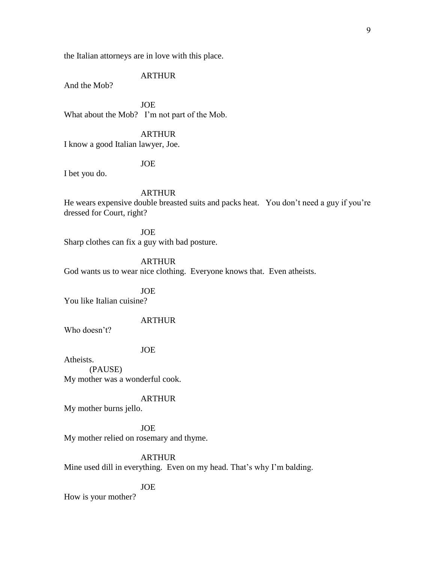And the Mob?

JOE What about the Mob? I'm not part of the Mob.

### ARTHUR

I know a good Italian lawyer, Joe.

JOE

I bet you do.

#### ARTHUR

He wears expensive double breasted suits and packs heat. You don't need a guy if you're dressed for Court, right?

JOE

Sharp clothes can fix a guy with bad posture.

### ARTHUR

God wants us to wear nice clothing. Everyone knows that. Even atheists.

JOE

You like Italian cuisine?

### ARTHUR

Who doesn't?

Atheists.

JOE

(PAUSE) My mother was a wonderful cook.

#### ARTHUR

My mother burns jello.

### JOE

My mother relied on rosemary and thyme.

#### ARTHUR

Mine used dill in everything. Even on my head. That's why I'm balding.

#### JOE

How is your mother?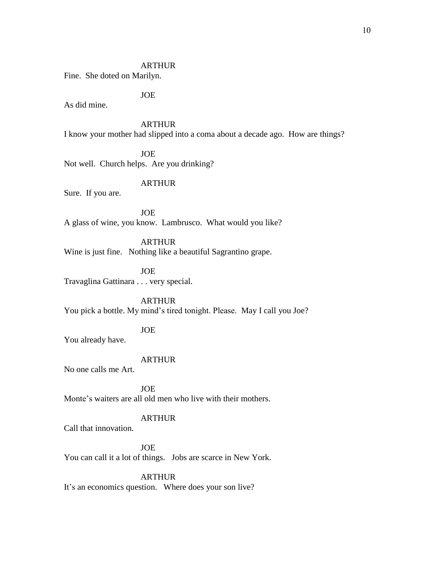Fine. She doted on Marilyn.

### JOE

As did mine.

### ARTHUR

I know your mother had slipped into a coma about a decade ago. How are things?

JOE Not well. Church helps. Are you drinking?

### ARTHUR

Sure. If you are.

JOE A glass of wine, you know. Lambrusco. What would you like?

ARTHUR Wine is just fine. Nothing like a beautiful Sagrantino grape.

JOE Travaglina Gattinara . . . very special.

ARTHUR You pick a bottle. My mind's tired tonight. Please. May I call you Joe?

#### JOE

You already have.

### ARTHUR

No one calls me Art.

JOE Monte's waiters are all old men who live with their mothers.

### ARTHUR

Call that innovation.

JOE You can call it a lot of things. Jobs are scarce in New York.

ARTHUR It's an economics question. Where does your son live?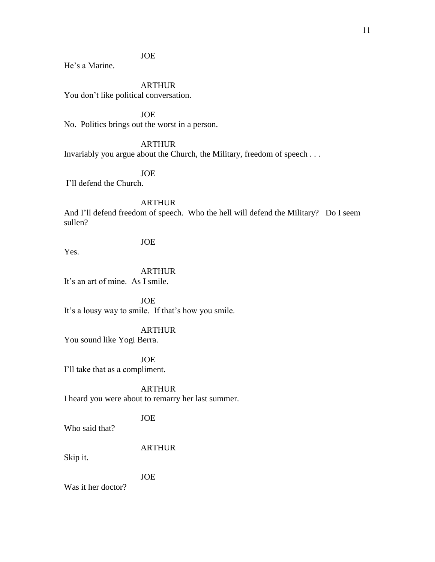He's a Marine.

ARTHUR You don't like political conversation.

JOE No. Politics brings out the worst in a person.

### ARTHUR

Invariably you argue about the Church, the Military, freedom of speech . . .

### JOE

I'll defend the Church.

### ARTHUR

And I'll defend freedom of speech. Who the hell will defend the Military? Do I seem sullen?

Yes.

JOE

ARTHUR It's an art of mine. As I smile.

JOE It's a lousy way to smile. If that's how you smile.

### ARTHUR

You sound like Yogi Berra.

JOE I'll take that as a compliment.

ARTHUR I heard you were about to remarry her last summer.

### JOE

Who said that?

#### ARTHUR

Skip it.

#### JOE

Was it her doctor?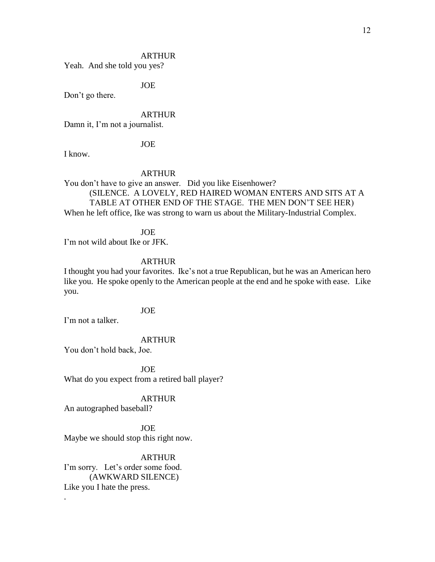Yeah. And she told you yes?

JOE

Don't go there.

### ARTHUR

Damn it, I'm not a journalist.

### JOE

I know.

### ARTHUR

### You don't have to give an answer. Did you like Eisenhower? (SILENCE. A LOVELY, RED HAIRED WOMAN ENTERS AND SITS AT A TABLE AT OTHER END OF THE STAGE. THE MEN DON'T SEE HER) When he left office, Ike was strong to warn us about the Military-Industrial Complex.

#### JOE

I'm not wild about Ike or JFK.

### ARTHUR

I thought you had your favorites. Ike's not a true Republican, but he was an American hero like you. He spoke openly to the American people at the end and he spoke with ease. Like you.

#### JOE

I'm not a talker.

.

### ARTHUR

You don't hold back, Joe.

#### JOE

What do you expect from a retired ball player?

### ARTHUR

An autographed baseball?

JOE Maybe we should stop this right now.

#### ARTHUR

I'm sorry. Let's order some food. (AWKWARD SILENCE) Like you I hate the press.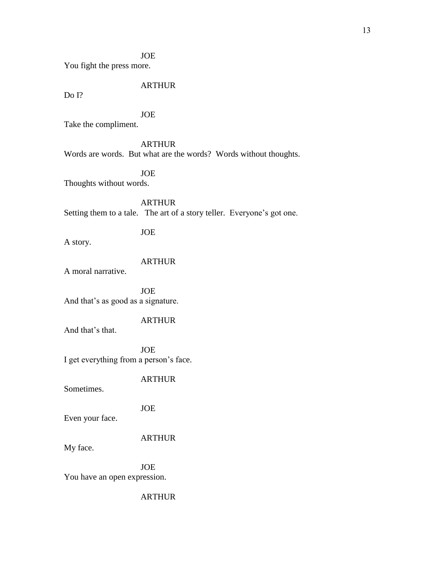You fight the press more.

### ARTHUR

Do I?

### JOE

Take the compliment.

ARTHUR Words are words. But what are the words? Words without thoughts.

JOE Thoughts without words.

ARTHUR Setting them to a tale. The art of a story teller. Everyone's got one.

JOE

A story.

ARTHUR A moral narrative.

JOE And that's as good as a signature.

### ARTHUR

And that's that.

JOE I get everything from a person's face.

ARTHUR

Sometimes.

JOE

Even your face.

ARTHUR

My face.

JOE You have an open expression.

### ARTHUR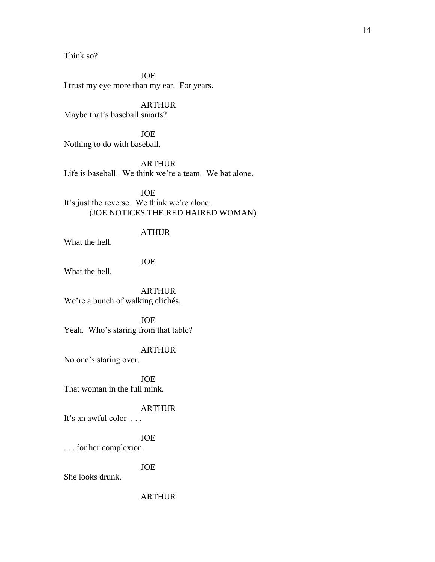Think so?

JOE I trust my eye more than my ear. For years.

ARTHUR Maybe that's baseball smarts?

JOE Nothing to do with baseball.

ARTHUR

Life is baseball. We think we're a team. We bat alone.

JOE It's just the reverse. We think we're alone. (JOE NOTICES THE RED HAIRED WOMAN)

#### ATHUR

What the hell.

JOE

What the hell.

ARTHUR We're a bunch of walking clichés.

JOE Yeah. Who's staring from that table?

ARTHUR

No one's staring over.

JOE That woman in the full mink.

#### ARTHUR

It's an awful color . . .

### JOE

. . . for her complexion.

#### JOE

She looks drunk.

ARTHUR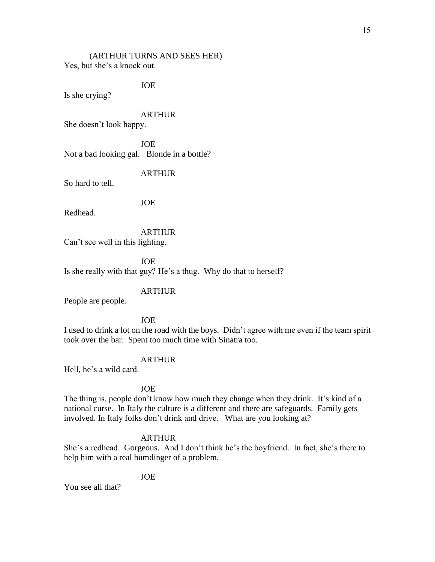#### (ARTHUR TURNS AND SEES HER) Yes, but she's a knock out.

JOE

Is she crying?

#### ARTHUR

She doesn't look happy.

JOE Not a bad looking gal. Blonde in a bottle?

### ARTHUR

So hard to tell.

JOE

Redhead.

ARTHUR

Can't see well in this lighting.

JOE Is she really with that guy? He's a thug. Why do that to herself?

#### ARTHUR

People are people.

JOE

I used to drink a lot on the road with the boys. Didn't agree with me even if the team spirit took over the bar. Spent too much time with Sinatra too.

#### ARTHUR

Hell, he's a wild card.

#### JOE

The thing is, people don't know how much they change when they drink. It's kind of a national curse. In Italy the culture is a different and there are safeguards. Family gets involved. In Italy folks don't drink and drive. What are you looking at?

### ARTHUR

She's a redhead. Gorgeous. And I don't think he's the boyfriend. In fact, she's there to help him with a real humdinger of a problem.

#### JOE

You see all that?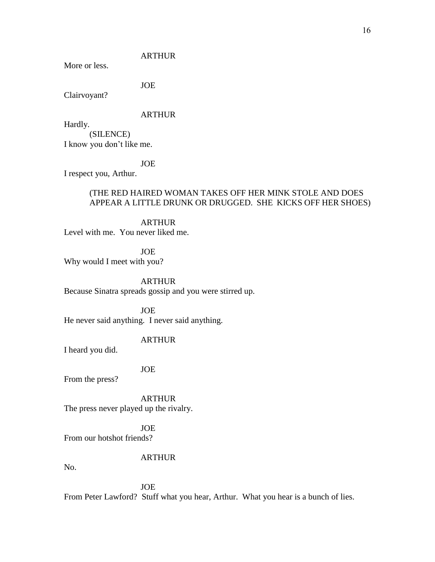More or less.

JOE

Clairvoyant?

#### ARTHUR

Hardly.

(SILENCE)

I know you don't like me.

JOE

I respect you, Arthur.

### (THE RED HAIRED WOMAN TAKES OFF HER MINK STOLE AND DOES APPEAR A LITTLE DRUNK OR DRUGGED. SHE KICKS OFF HER SHOES)

ARTHUR

Level with me. You never liked me.

JOE

Why would I meet with you?

ARTHUR Because Sinatra spreads gossip and you were stirred up.

JOE He never said anything. I never said anything.

### ARTHUR

I heard you did.

JOE

From the press?

ARTHUR The press never played up the rivalry.

### JOE

From our hotshot friends?

### ARTHUR

No.

JOE From Peter Lawford? Stuff what you hear, Arthur. What you hear is a bunch of lies.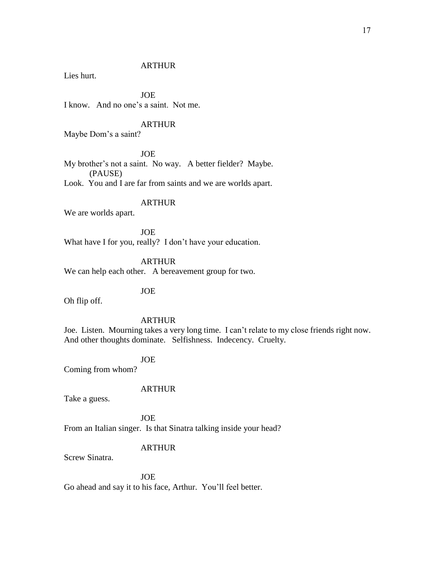Lies hurt.

JOE I know. And no one's a saint. Not me.

#### ARTHUR

Maybe Dom's a saint?

### JOE

My brother's not a saint. No way. A better fielder? Maybe. (PAUSE)

Look. You and I are far from saints and we are worlds apart.

### ARTHUR

We are worlds apart.

JOE What have I for you, really? I don't have your education.

ARTHUR

### We can help each other. A bereavement group for two.

JOE

Oh flip off.

### ARTHUR

Joe. Listen. Mourning takes a very long time. I can't relate to my close friends right now. And other thoughts dominate. Selfishness. Indecency. Cruelty.

JOE

Coming from whom?

#### ARTHUR

Take a guess.

JOE

From an Italian singer. Is that Sinatra talking inside your head?

#### ARTHUR

Screw Sinatra.

JOE

Go ahead and say it to his face, Arthur. You'll feel better.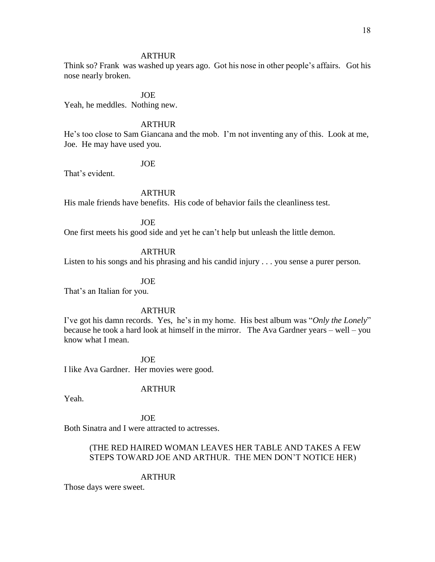Think so? Frank was washed up years ago. Got his nose in other people's affairs. Got his nose nearly broken.

### JOE

Yeah, he meddles. Nothing new.

#### ARTHUR

He's too close to Sam Giancana and the mob. I'm not inventing any of this. Look at me, Joe. He may have used you.

JOE

That's evident.

#### **ARTHUR**

His male friends have benefits. His code of behavior fails the cleanliness test.

### JOE

One first meets his good side and yet he can't help but unleash the little demon.

#### ARTHUR

Listen to his songs and his phrasing and his candid injury . . . you sense a purer person.

#### JOE

That's an Italian for you.

#### ARTHUR

I've got his damn records. Yes, he's in my home. His best album was "*Only the Lonely*" because he took a hard look at himself in the mirror. The Ava Gardner years – well – you know what I mean.

JOE

I like Ava Gardner. Her movies were good.

#### ARTHUR

Yeah.

### JOE

Both Sinatra and I were attracted to actresses.

### (THE RED HAIRED WOMAN LEAVES HER TABLE AND TAKES A FEW STEPS TOWARD JOE AND ARTHUR. THE MEN DON'T NOTICE HER)

#### ARTHUR

Those days were sweet.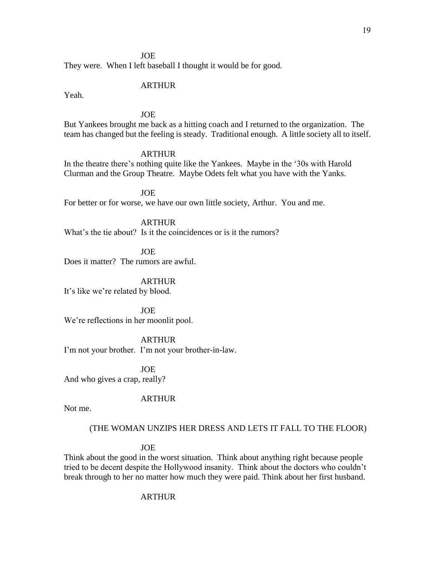They were. When I left baseball I thought it would be for good.

### ARTHUR

Yeah.

### JOE

But Yankees brought me back as a hitting coach and I returned to the organization. The team has changed but the feeling is steady. Traditional enough. A little society all to itself.

### **ARTHUR**

In the theatre there's nothing quite like the Yankees. Maybe in the '30s with Harold Clurman and the Group Theatre. Maybe Odets felt what you have with the Yanks.

JOE

For better or for worse, we have our own little society, Arthur. You and me.

### ARTHUR

What's the tie about? Is it the coincidences or is it the rumors?

JOE Does it matter? The rumors are awful.

### ARTHUR

It's like we're related by blood.

JOE We're reflections in her moonlit pool.

ARTHUR I'm not your brother. I'm not your brother-in-law.

JOE

And who gives a crap, really?

### ARTHUR

Not me.

### (THE WOMAN UNZIPS HER DRESS AND LETS IT FALL TO THE FLOOR)

#### JOE

Think about the good in the worst situation. Think about anything right because people tried to be decent despite the Hollywood insanity. Think about the doctors who couldn't break through to her no matter how much they were paid. Think about her first husband.

### ARTHUR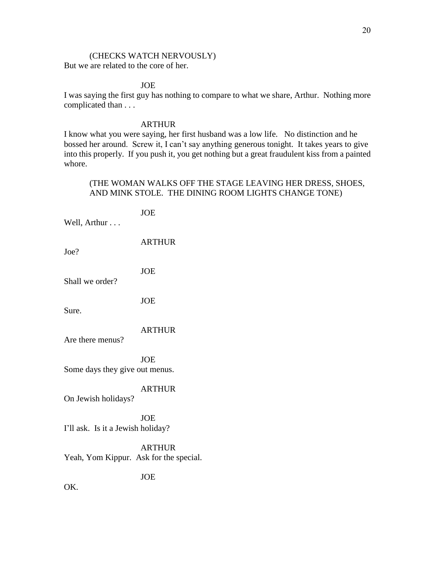### (CHECKS WATCH NERVOUSLY)

But we are related to the core of her.

#### JOE

I was saying the first guy has nothing to compare to what we share, Arthur. Nothing more complicated than . . .

### ARTHUR

I know what you were saying, her first husband was a low life. No distinction and he bossed her around. Screw it, I can't say anything generous tonight. It takes years to give into this properly. If you push it, you get nothing but a great fraudulent kiss from a painted whore.

### (THE WOMAN WALKS OFF THE STAGE LEAVING HER DRESS, SHOES, AND MINK STOLE. THE DINING ROOM LIGHTS CHANGE TONE)

| Well, Arthur                           | JOE           |
|----------------------------------------|---------------|
| Joe?                                   | <b>ARTHUR</b> |
| Shall we order?                        | <b>JOE</b>    |
| Sure.                                  | JOE           |
| Are there menus?                       | <b>ARTHUR</b> |
| Some days they give out menus.         | <b>JOE</b>    |
| On Jewish holidays?                    | <b>ARTHUR</b> |
| I'll ask. Is it a Jewish holiday?      | <b>JOE</b>    |
| Yeah, Yom Kippur. Ask for the special. | <b>ARTHUR</b> |
| OK.                                    | JOE           |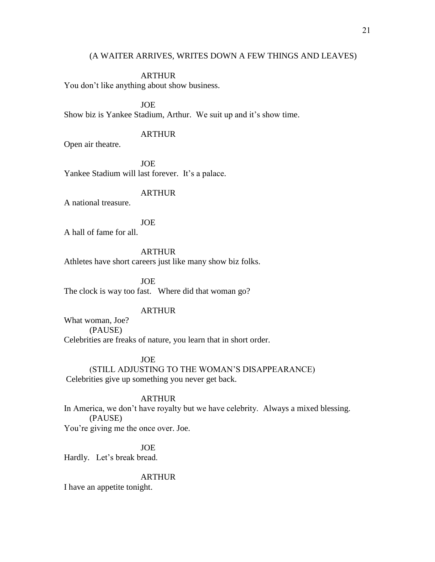### (A WAITER ARRIVES, WRITES DOWN A FEW THINGS AND LEAVES)

#### ARTHUR

You don't like anything about show business.

JOE

Show biz is Yankee Stadium, Arthur. We suit up and it's show time.

### ARTHUR

Open air theatre.

JOE Yankee Stadium will last forever. It's a palace.

#### ARTHUR

A national treasure.

JOE

A hall of fame for all.

**ARTHUR** 

Athletes have short careers just like many show biz folks.

JOE The clock is way too fast. Where did that woman go?

#### ARTHUR

What woman, Joe? (PAUSE) Celebrities are freaks of nature, you learn that in short order.

### JOE

(STILL ADJUSTING TO THE WOMAN'S DISAPPEARANCE) Celebrities give up something you never get back.

### ARTHUR

In America, we don't have royalty but we have celebrity. Always a mixed blessing. (PAUSE)

You're giving me the once over. Joe.

JOE

Hardly. Let's break bread.

ARTHUR

I have an appetite tonight.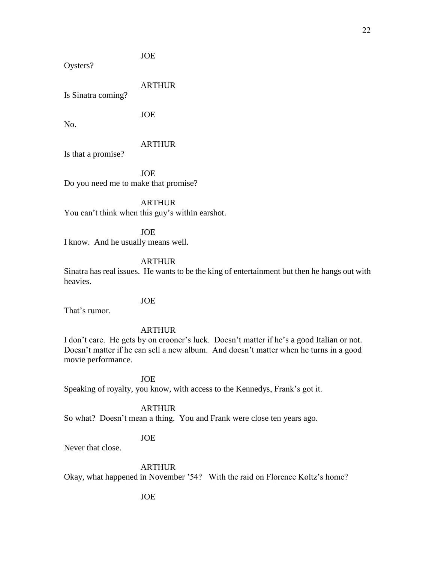Oysters?

ARTHUR

Is Sinatra coming?

No.

JOE

ARTHUR

Is that a promise?

JOE Do you need me to make that promise?

ARTHUR You can't think when this guy's within earshot.

JOE I know. And he usually means well.

### ARTHUR

Sinatra has real issues. He wants to be the king of entertainment but then he hangs out with heavies.

### JOE

That's rumor.

### ARTHUR

I don't care. He gets by on crooner's luck. Doesn't matter if he's a good Italian or not. Doesn't matter if he can sell a new album. And doesn't matter when he turns in a good movie performance.

### JOE

Speaking of royalty, you know, with access to the Kennedys, Frank's got it.

### ARTHUR

So what? Doesn't mean a thing. You and Frank were close ten years ago.

### JOE

Never that close.

### ARTHUR

Okay, what happened in November '54? With the raid on Florence Koltz's home?

### JOE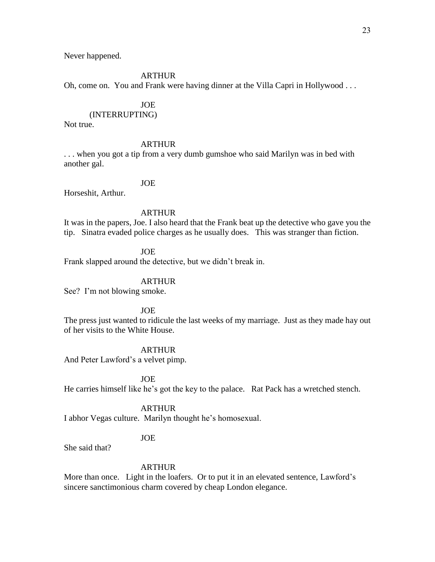Never happened.

#### **ARTHUR**

Oh, come on. You and Frank were having dinner at the Villa Capri in Hollywood . . .

#### JOE

#### (INTERRUPTING)

Not true.

### ARTHUR

. . . when you got a tip from a very dumb gumshoe who said Marilyn was in bed with another gal.

### JOE

Horseshit, Arthur.

### ARTHUR

It was in the papers, Joe. I also heard that the Frank beat up the detective who gave you the tip. Sinatra evaded police charges as he usually does. This was stranger than fiction.

#### **JOE**

Frank slapped around the detective, but we didn't break in.

#### ARTHUR

See? I'm not blowing smoke.

#### JOE

The press just wanted to ridicule the last weeks of my marriage. Just as they made hay out of her visits to the White House.

#### ARTHUR

And Peter Lawford's a velvet pimp.

### JOE

He carries himself like he's got the key to the palace. Rat Pack has a wretched stench.

#### ARTHUR

I abhor Vegas culture. Marilyn thought he's homosexual.

### JOE

She said that?

#### **ARTHUR**

More than once. Light in the loafers. Or to put it in an elevated sentence, Lawford's sincere sanctimonious charm covered by cheap London elegance.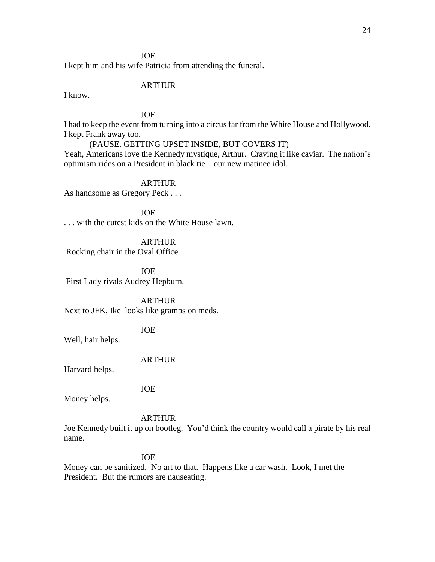I kept him and his wife Patricia from attending the funeral.

### ARTHUR

I know.

JOE

I had to keep the event from turning into a circus far from the White House and Hollywood. I kept Frank away too.

(PAUSE. GETTING UPSET INSIDE, BUT COVERS IT) Yeah, Americans love the Kennedy mystique, Arthur. Craving it like caviar. The nation's optimism rides on a President in black tie – our new matinee idol.

### ARTHUR

As handsome as Gregory Peck . . .

JOE . . . with the cutest kids on the White House lawn.

### ARTHUR Rocking chair in the Oval Office.

**JOE** First Lady rivals Audrey Hepburn.

ARTHUR Next to JFK, Ike looks like gramps on meds.

JOE

Well, hair helps.

#### ARTHUR

Harvard helps.

#### JOE

Money helps.

#### ARTHUR

Joe Kennedy built it up on bootleg. You'd think the country would call a pirate by his real name.

### JOE

Money can be sanitized. No art to that. Happens like a car wash. Look, I met the President. But the rumors are nauseating.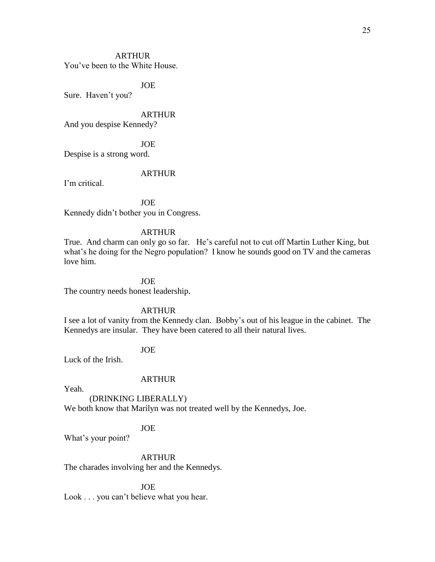You've been to the White House.

JOE

Sure. Haven't you?

### ARTHUR

And you despise Kennedy?

JOE Despise is a strong word.

### ARTHUR

I'm critical.

**JOE** 

Kennedy didn't bother you in Congress.

#### ARTHUR

True. And charm can only go so far. He's careful not to cut off Martin Luther King, but what's he doing for the Negro population? I know he sounds good on TV and the cameras love him.

JOE

The country needs honest leadership.

#### ARTHUR

I see a lot of vanity from the Kennedy clan. Bobby's out of his league in the cabinet. The Kennedys are insular. They have been catered to all their natural lives.

JOE

Luck of the Irish.

### ARTHUR

Yeah.

(DRINKING LIBERALLY) We both know that Marilyn was not treated well by the Kennedys, Joe.

#### JOE

What's your point?

ARTHUR

The charades involving her and the Kennedys.

#### JOE

Look . . . you can't believe what you hear.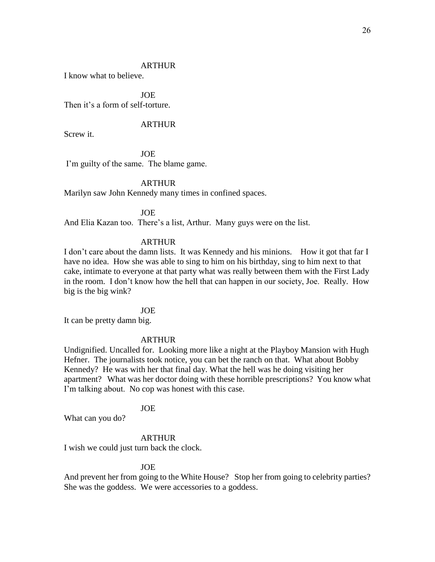I know what to believe.

JOE Then it's a form of self-torture.

#### ARTHUR

Screw it.

**JOE** I'm guilty of the same. The blame game.

### ARTHUR

Marilyn saw John Kennedy many times in confined spaces.

JOE

And Elia Kazan too. There's a list, Arthur. Many guys were on the list.

#### ARTHUR

I don't care about the damn lists. It was Kennedy and his minions. How it got that far I have no idea. How she was able to sing to him on his birthday, sing to him next to that cake, intimate to everyone at that party what was really between them with the First Lady in the room. I don't know how the hell that can happen in our society, Joe. Really. How big is the big wink?

#### JOE

It can be pretty damn big.

#### ARTHUR

Undignified. Uncalled for. Looking more like a night at the Playboy Mansion with Hugh Hefner. The journalists took notice, you can bet the ranch on that. What about Bobby Kennedy? He was with her that final day. What the hell was he doing visiting her apartment? What was her doctor doing with these horrible prescriptions? You know what I'm talking about. No cop was honest with this case.

#### JOE

What can you do?

### ARTHUR

I wish we could just turn back the clock.

#### **JOE**

And prevent her from going to the White House? Stop her from going to celebrity parties? She was the goddess. We were accessories to a goddess.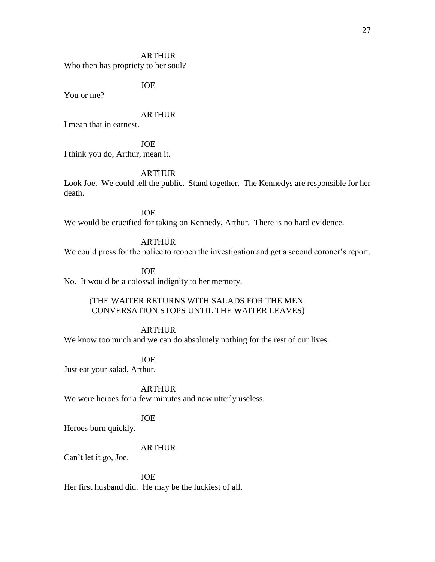Who then has propriety to her soul?

JOE

You or me?

#### ARTHUR

I mean that in earnest.

JOE

I think you do, Arthur, mean it.

### ARTHUR

Look Joe. We could tell the public. Stand together. The Kennedys are responsible for her death.

JOE

We would be crucified for taking on Kennedy, Arthur. There is no hard evidence.

### ARTHUR

We could press for the police to reopen the investigation and get a second coroner's report.

JOE

No. It would be a colossal indignity to her memory.

### (THE WAITER RETURNS WITH SALADS FOR THE MEN. CONVERSATION STOPS UNTIL THE WAITER LEAVES)

#### ARTHUR

We know too much and we can do absolutely nothing for the rest of our lives.

JOE

Just eat your salad, Arthur.

ARTHUR

We were heroes for a few minutes and now utterly useless.

#### JOE

Heroes burn quickly.

#### ARTHUR

Can't let it go, Joe.

#### JOE

Her first husband did. He may be the luckiest of all.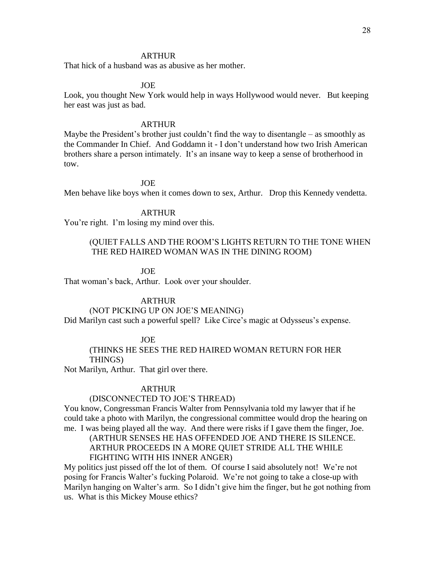That hick of a husband was as abusive as her mother.

#### JOE

Look, you thought New York would help in ways Hollywood would never. But keeping her east was just as bad.

#### ARTHUR

Maybe the President's brother just couldn't find the way to disentangle – as smoothly as the Commander In Chief. And Goddamn it - I don't understand how two Irish American brothers share a person intimately. It's an insane way to keep a sense of brotherhood in tow.

#### JOE

Men behave like boys when it comes down to sex, Arthur. Drop this Kennedy vendetta.

#### ARTHUR

You're right. I'm losing my mind over this.

### (QUIET FALLS AND THE ROOM'S LIGHTS RETURN TO THE TONE WHEN THE RED HAIRED WOMAN WAS IN THE DINING ROOM)

#### JOE

That woman's back, Arthur. Look over your shoulder.

### ARTHUR

(NOT PICKING UP ON JOE'S MEANING) Did Marilyn cast such a powerful spell? Like Circe's magic at Odysseus's expense.

#### JOE

### (THINKS HE SEES THE RED HAIRED WOMAN RETURN FOR HER THINGS)

Not Marilyn, Arthur. That girl over there.

#### ARTHUR

#### (DISCONNECTED TO JOE'S THREAD)

You know, Congressman Francis Walter from Pennsylvania told my lawyer that if he could take a photo with Marilyn, the congressional committee would drop the hearing on me. I was being played all the way. And there were risks if I gave them the finger, Joe.

### (ARTHUR SENSES HE HAS OFFENDED JOE AND THERE IS SILENCE. ARTHUR PROCEEDS IN A MORE QUIET STRIDE ALL THE WHILE FIGHTING WITH HIS INNER ANGER)

My politics just pissed off the lot of them. Of course I said absolutely not! We're not posing for Francis Walter's fucking Polaroid. We're not going to take a close-up with Marilyn hanging on Walter's arm. So I didn't give him the finger, but he got nothing from us. What is this Mickey Mouse ethics?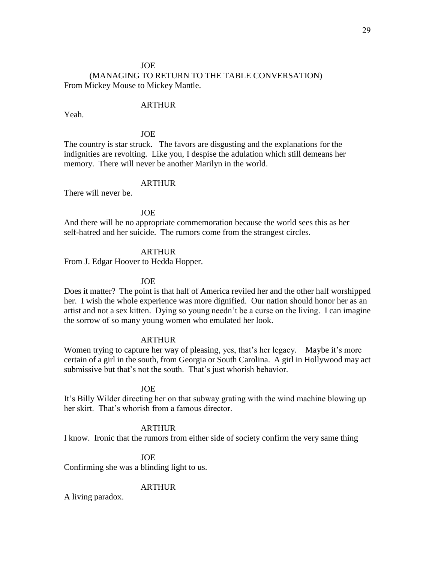### JOE (MANAGING TO RETURN TO THE TABLE CONVERSATION) From Mickey Mouse to Mickey Mantle.

#### ARTHUR

Yeah.

#### JOE

The country is star struck. The favors are disgusting and the explanations for the indignities are revolting. Like you, I despise the adulation which still demeans her memory. There will never be another Marilyn in the world.

### ARTHUR

There will never be.

#### JOE

And there will be no appropriate commemoration because the world sees this as her self-hatred and her suicide. The rumors come from the strangest circles.

#### ARTHUR

From J. Edgar Hoover to Hedda Hopper.

#### JOE

Does it matter? The point is that half of America reviled her and the other half worshipped her. I wish the whole experience was more dignified. Our nation should honor her as an artist and not a sex kitten. Dying so young needn't be a curse on the living. I can imagine the sorrow of so many young women who emulated her look.

#### ARTHUR

Women trying to capture her way of pleasing, yes, that's her legacy. Maybe it's more certain of a girl in the south, from Georgia or South Carolina. A girl in Hollywood may act submissive but that's not the south. That's just whorish behavior.

#### JOE

It's Billy Wilder directing her on that subway grating with the wind machine blowing up her skirt. That's whorish from a famous director.

#### ARTHUR

I know. Ironic that the rumors from either side of society confirm the very same thing

### JOE

Confirming she was a blinding light to us.

#### **ARTHUR**

A living paradox.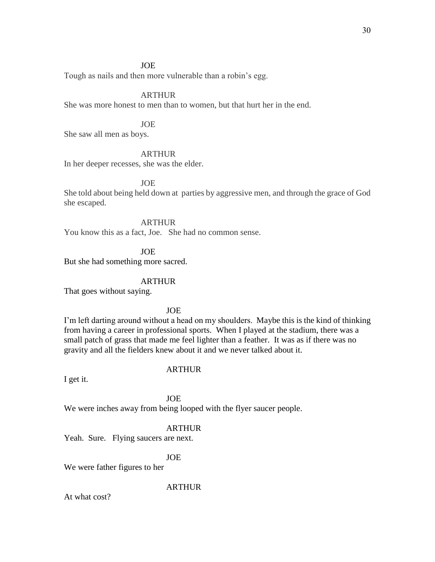Tough as nails and then more vulnerable than a robin's egg.

### ARTHUR

She was more honest to men than to women, but that hurt her in the end.

#### JOE

She saw all men as boys.

### **ARTHUR**

In her deeper recesses, she was the elder.

### JOE

She told about being held down at parties by aggressive men, and through the grace of God she escaped.

### ARTHUR

You know this as a fact, Joe. She had no common sense.

#### **JOE**

But she had something more sacred.

#### ARTHUR

That goes without saying.

#### JOE

I'm left darting around without a head on my shoulders. Maybe this is the kind of thinking from having a career in professional sports. When I played at the stadium, there was a small patch of grass that made me feel lighter than a feather. It was as if there was no gravity and all the fielders knew about it and we never talked about it.

#### ARTHUR

I get it.

JOE

We were inches away from being looped with the flyer saucer people.

#### ARTHUR

Yeah. Sure. Flying saucers are next.

### JOE

We were father figures to her

#### ARTHUR

At what cost?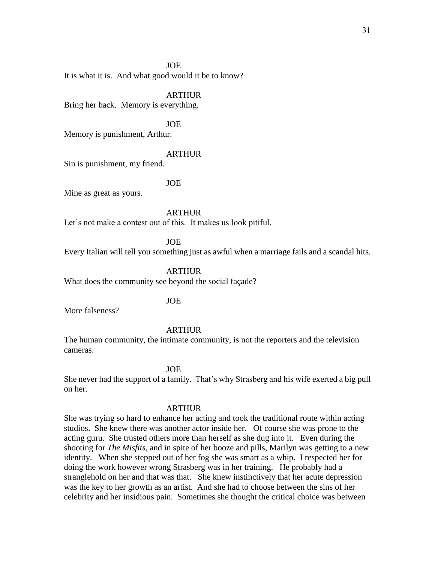It is what it is. And what good would it be to know?

**ARTHUR** 

Bring her back. Memory is everything.

JOE

Memory is punishment, Arthur.

#### **ARTHUR**

Sin is punishment, my friend.

JOE

Mine as great as yours.

ARTHUR

Let's not make a contest out of this. It makes us look pitiful.

JOE

Every Italian will tell you something just as awful when a marriage fails and a scandal hits.

ARTHUR

What does the community see beyond the social façade?

### JOE

More falseness?

#### ARTHUR

The human community, the intimate community, is not the reporters and the television cameras.

#### **JOE**

She never had the support of a family. That's why Strasberg and his wife exerted a big pull on her.

#### ARTHUR

She was trying so hard to enhance her acting and took the traditional route within acting studios. She knew there was another actor inside her. Of course she was prone to the acting guru. She trusted others more than herself as she dug into it. Even during the shooting for *The Misfits*, and in spite of her booze and pills, Marilyn was getting to a new identity. When she stepped out of her fog she was smart as a whip. I respected her for doing the work however wrong Strasberg was in her training. He probably had a stranglehold on her and that was that. She knew instinctively that her acute depression was the key to her growth as an artist. And she had to choose between the sins of her celebrity and her insidious pain. Sometimes she thought the critical choice was between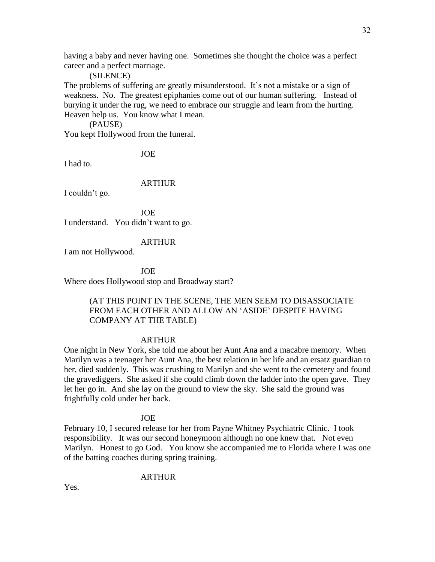having a baby and never having one. Sometimes she thought the choice was a perfect career and a perfect marriage.

(SILENCE)

The problems of suffering are greatly misunderstood. It's not a mistake or a sign of weakness. No. The greatest epiphanies come out of our human suffering. Instead of burying it under the rug, we need to embrace our struggle and learn from the hurting. Heaven help us. You know what I mean.

(PAUSE)

You kept Hollywood from the funeral.

JOE

I had to.

ARTHUR

I couldn't go.

JOE I understand. You didn't want to go.

#### ARTHUR

I am not Hollywood.

**JOE** 

Where does Hollywood stop and Broadway start?

### (AT THIS POINT IN THE SCENE, THE MEN SEEM TO DISASSOCIATE FROM EACH OTHER AND ALLOW AN 'ASIDE' DESPITE HAVING COMPANY AT THE TABLE)

### ARTHUR

One night in New York, she told me about her Aunt Ana and a macabre memory. When Marilyn was a teenager her Aunt Ana, the best relation in her life and an ersatz guardian to her, died suddenly. This was crushing to Marilyn and she went to the cemetery and found the gravediggers. She asked if she could climb down the ladder into the open gave. They let her go in. And she lay on the ground to view the sky. She said the ground was frightfully cold under her back.

#### JOE

February 10, I secured release for her from Payne Whitney Psychiatric Clinic. I took responsibility. It was our second honeymoon although no one knew that. Not even Marilyn. Honest to go God. You know she accompanied me to Florida where I was one of the batting coaches during spring training.

### ARTHUR

Yes.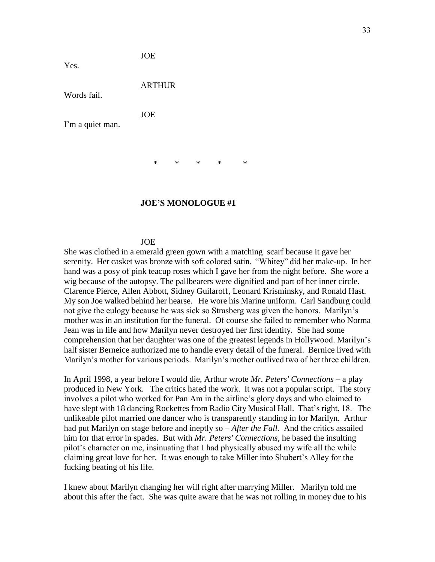Yes.

ARTHUR Words fail.

I'm a quiet man.

\* \* \* \* \*

### **JOE'S MONOLOGUE #1**

#### JOE

JOE

JOE

She was clothed in a emerald green gown with a matching scarf because it gave her serenity. Her casket was bronze with soft colored satin. "Whitey" did her make-up. In her hand was a posy of pink teacup roses which I gave her from the night before. She wore a wig because of the autopsy. The pallbearers were dignified and part of her inner circle. Clarence Pierce, Allen Abbott, Sidney Guilaroff, Leonard Krisminsky, and Ronald Hast. My son Joe walked behind her hearse. He wore his Marine uniform. Carl Sandburg could not give the eulogy because he was sick so Strasberg was given the honors. Marilyn's mother was in an institution for the funeral. Of course she failed to remember who Norma Jean was in life and how Marilyn never destroyed her first identity. She had some comprehension that her daughter was one of the greatest legends in Hollywood. Marilyn's half sister Berneice authorized me to handle every detail of the funeral. Bernice lived with Marilyn's mother for various periods. Marilyn's mother outlived two of her three children.

In April 1998, a year before I would die, Arthur wrote *Mr. Peters' Connections* – a play produced in New York. The critics hated the work. It was not a popular script. The story involves a pilot who worked for Pan Am in the airline's glory days and who claimed to have slept with 18 dancing Rockettes from Radio City Musical Hall. That's right, 18. The unlikeable pilot married one dancer who is transparently standing in for Marilyn. Arthur had put Marilyn on stage before and ineptly so – *After the Fall.* And the critics assailed him for that error in spades. But with *Mr. Peters' Connections,* he based the insulting pilot's character on me, insinuating that I had physically abused my wife all the while claiming great love for her. It was enough to take Miller into Shubert's Alley for the fucking beating of his life.

I knew about Marilyn changing her will right after marrying Miller. Marilyn told me about this after the fact. She was quite aware that he was not rolling in money due to his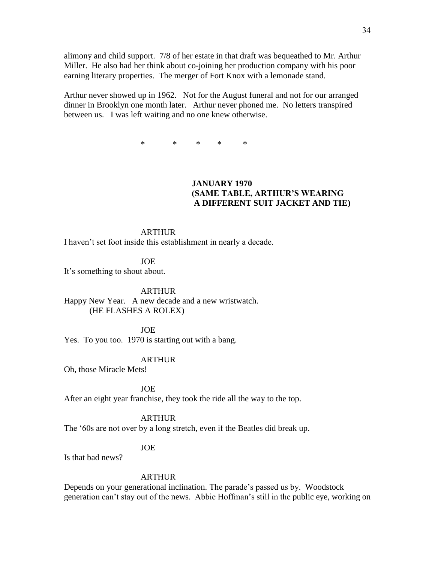alimony and child support. 7/8 of her estate in that draft was bequeathed to Mr. Arthur Miller. He also had her think about co-joining her production company with his poor earning literary properties. The merger of Fort Knox with a lemonade stand.

Arthur never showed up in 1962. Not for the August funeral and not for our arranged dinner in Brooklyn one month later. Arthur never phoned me. No letters transpired between us. I was left waiting and no one knew otherwise.

\* \* \* \* \*

### **JANUARY 1970 (SAME TABLE, ARTHUR'S WEARING A DIFFERENT SUIT JACKET AND TIE)**

ARTHUR I haven't set foot inside this establishment in nearly a decade.

JOE It's something to shout about.

**ARTHUR** Happy New Year. A new decade and a new wristwatch. (HE FLASHES A ROLEX)

JOE Yes. To you too. 1970 is starting out with a bang.

#### ARTHUR

Oh, those Miracle Mets!

JOE

After an eight year franchise, they took the ride all the way to the top.

#### ARTHUR

The '60s are not over by a long stretch, even if the Beatles did break up.

#### JOE

Is that bad news?

#### ARTHUR

Depends on your generational inclination. The parade's passed us by. Woodstock generation can't stay out of the news. Abbie Hoffman's still in the public eye, working on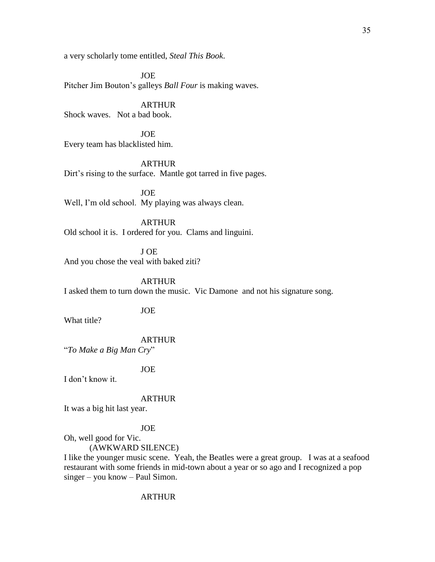a very scholarly tome entitled, *Steal This Book*.

JOE Pitcher Jim Bouton's galleys *Ball Four* is making waves.

#### ARTHUR Shock waves. Not a bad book.

JOE Every team has blacklisted him.

ARTHUR

Dirt's rising to the surface. Mantle got tarred in five pages.

JOE Well, I'm old school. My playing was always clean.

ARTHUR Old school it is. I ordered for you. Clams and linguini.

J OE And you chose the veal with baked ziti?

ARTHUR I asked them to turn down the music. Vic Damone and not his signature song.

JOE

What title?

ARTHUR "*To Make a Big Man Cry*"

JOE

I don't know it.

ARTHUR

It was a big hit last year.

#### JOE

Oh, well good for Vic.

(AWKWARD SILENCE)

I like the younger music scene. Yeah, the Beatles were a great group. I was at a seafood restaurant with some friends in mid-town about a year or so ago and I recognized a pop singer – you know – Paul Simon.

ARTHUR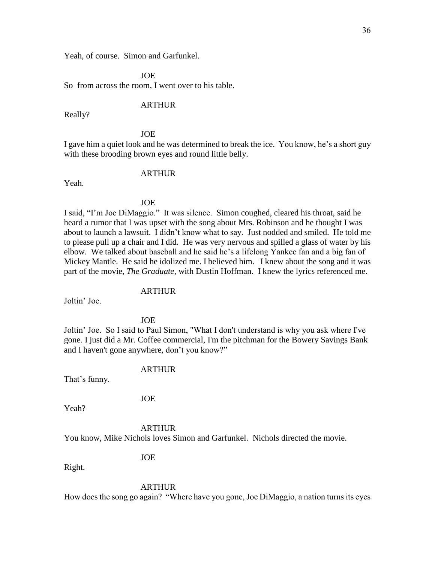Yeah, of course. Simon and Garfunkel.

JOE So from across the room, I went over to his table.

#### ARTHUR

Really?

JOE

I gave him a quiet look and he was determined to break the ice. You know, he's a short guy with these brooding brown eyes and round little belly.

### ARTHUR

Yeah.

#### **JOE**

I said, "I'm Joe DiMaggio." It was silence. Simon coughed, cleared his throat, said he heard a rumor that I was upset with the song about Mrs. Robinson and he thought I was about to launch a lawsuit. I didn't know what to say. Just nodded and smiled. He told me to please pull up a chair and I did. He was very nervous and spilled a glass of water by his elbow. We talked about baseball and he said he's a lifelong Yankee fan and a big fan of Mickey Mantle. He said he idolized me. I believed him. I knew about the song and it was part of the movie, *The Graduate*, with Dustin Hoffman. I knew the lyrics referenced me.

#### ARTHUR

Joltin' Joe.

JOE

Joltin' Joe. So I said to Paul Simon, "What I don't understand is why you ask where I've gone. I just did a Mr. Coffee commercial, I'm the pitchman for the Bowery Savings Bank and I haven't gone anywhere, don't you know?"

#### **ARTHUR**

That's funny.

JOE

Yeah?

#### ARTHUR

You know, Mike Nichols loves Simon and Garfunkel. Nichols directed the movie.

JOE

Right.

#### ARTHUR

How does the song go again? "Where have you gone, Joe DiMaggio, a nation turns its eyes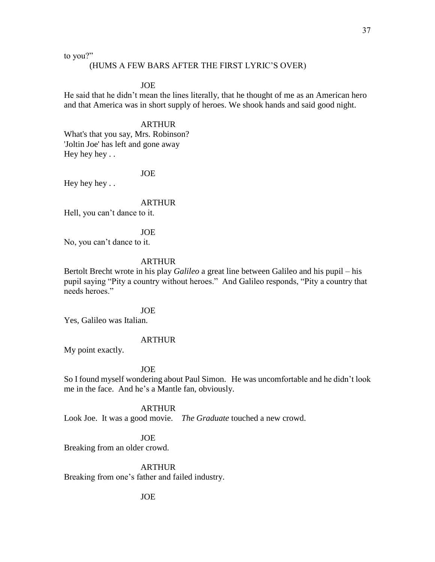to you?"

#### (HUMS A FEW BARS AFTER THE FIRST LYRIC'S OVER)

JOE

He said that he didn't mean the lines literally, that he thought of me as an American hero and that America was in short supply of heroes. We shook hands and said good night.

#### ARTHUR

What's that you say, Mrs. Robinson? 'Joltin Joe' has left and gone away Hey hey hey ..

JOE

Hey hey hey ..

ARTHUR

Hell, you can't dance to it.

#### JOE

No, you can't dance to it.

### ARTHUR

Bertolt Brecht wrote in his play *Galileo* a great line between Galileo and his pupil – his pupil saying "Pity a country without heroes." And Galileo responds, "Pity a country that needs heroes."

JOE

Yes, Galileo was Italian.

### ARTHUR

My point exactly.

#### **JOE**

So I found myself wondering about Paul Simon. He was uncomfortable and he didn't look me in the face. And he's a Mantle fan, obviously.

#### ARTHUR

Look Joe. It was a good movie. *The Graduate* touched a new crowd.

### JOE

Breaking from an older crowd.

#### ARTHUR

Breaking from one's father and failed industry.

#### JOE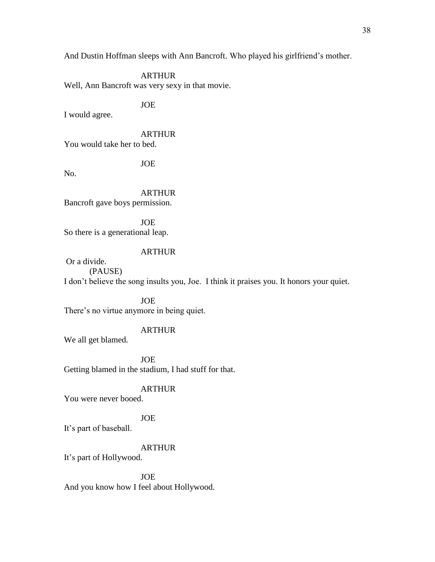And Dustin Hoffman sleeps with Ann Bancroft. Who played his girlfriend's mother.

ARTHUR Well, Ann Bancroft was very sexy in that movie.

JOE

JOE

I would agree.

ARTHUR

You would take her to bed.

No.

ARTHUR

Bancroft gave boys permission.

JOE

So there is a generational leap.

### ARTHUR

Or a divide. (PAUSE)

I don't believe the song insults you, Joe. I think it praises you. It honors your quiet.

JOE

There's no virtue anymore in being quiet.

### ARTHUR

We all get blamed.

JOE Getting blamed in the stadium, I had stuff for that.

ARTHUR

You were never booed.

### JOE

It's part of baseball.

#### ARTHUR

It's part of Hollywood.

JOE And you know how I feel about Hollywood.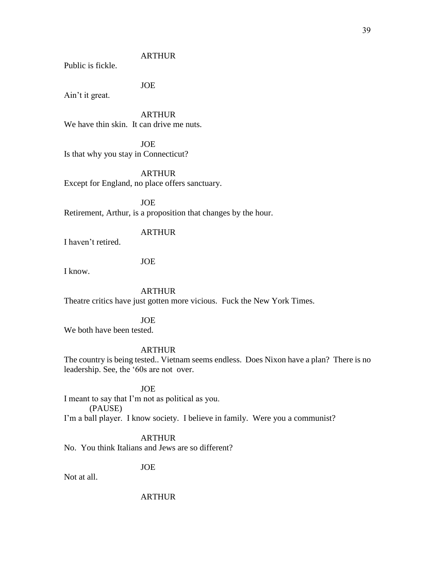Public is fickle.

JOE

Ain't it great.

**ARTHUR** We have thin skin. It can drive me nuts.

JOE Is that why you stay in Connecticut?

ARTHUR Except for England, no place offers sanctuary.

JOE Retirement, Arthur, is a proposition that changes by the hour.

### ARTHUR

I haven't retired.

### JOE

I know.

ARTHUR

Theatre critics have just gotten more vicious. Fuck the New York Times.

JOE

We both have been tested.

ARTHUR

The country is being tested.. Vietnam seems endless. Does Nixon have a plan? There is no leadership. See, the '60s are not over.

JOE

I meant to say that I'm not as political as you. (PAUSE) I'm a ball player. I know society. I believe in family. Were you a communist?

### ARTHUR

No. You think Italians and Jews are so different?

JOE

Not at all.

ARTHUR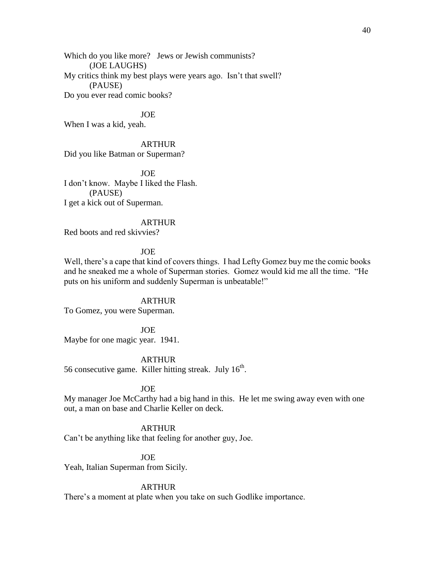Which do you like more? Jews or Jewish communists? (JOE LAUGHS) My critics think my best plays were years ago. Isn't that swell? (PAUSE) Do you ever read comic books?

#### JOE

When I was a kid, yeah.

### ARTHUR

Did you like Batman or Superman?

JOE I don't know. Maybe I liked the Flash. (PAUSE) I get a kick out of Superman.

#### ARTHUR

Red boots and red skivvies?

#### JOE

Well, there's a cape that kind of covers things. I had Lefty Gomez buy me the comic books and he sneaked me a whole of Superman stories. Gomez would kid me all the time. "He puts on his uniform and suddenly Superman is unbeatable!"

### ARTHUR

To Gomez, you were Superman.

#### JOE

Maybe for one magic year. 1941.

#### ARTHUR

56 consecutive game. Killer hitting streak. July  $16<sup>th</sup>$ .

#### JOE

My manager Joe McCarthy had a big hand in this. He let me swing away even with one out, a man on base and Charlie Keller on deck.

### ARTHUR

Can't be anything like that feeling for another guy, Joe.

### JOE

Yeah, Italian Superman from Sicily.

#### ARTHUR

There's a moment at plate when you take on such Godlike importance.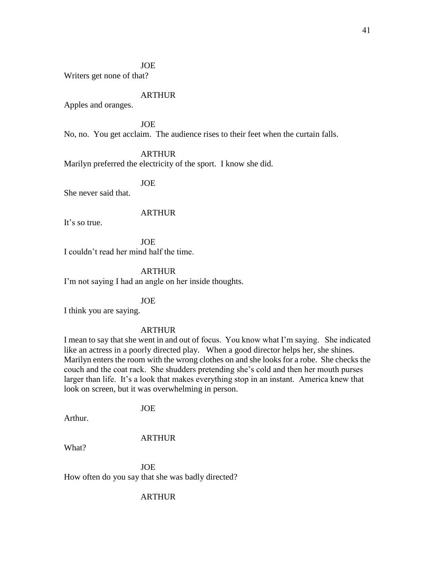Writers get none of that?

### ARTHUR

Apples and oranges.

JOE No, no. You get acclaim. The audience rises to their feet when the curtain falls.

**ARTHUR** Marilyn preferred the electricity of the sport. I know she did.

JOE

She never said that.

### ARTHUR

It's so true.

JOE I couldn't read her mind half the time.

ARTHUR I'm not saying I had an angle on her inside thoughts.

### JOE

I think you are saying.

#### ARTHUR

I mean to say that she went in and out of focus. You know what I'm saying. She indicated like an actress in a poorly directed play. When a good director helps her, she shines. Marilyn enters the room with the wrong clothes on and she looks for a robe. She checks the couch and the coat rack. She shudders pretending she's cold and then her mouth purses larger than life. It's a look that makes everything stop in an instant. America knew that look on screen, but it was overwhelming in person.

JOE

Arthur.

### ARTHUR

What?

JOE How often do you say that she was badly directed?

#### ARTHUR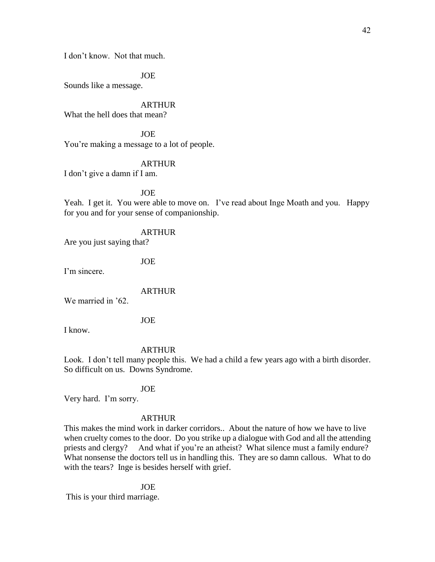I don't know. Not that much.

JOE

Sounds like a message.

## ARTHUR

What the hell does that mean?

JOE You're making a message to a lot of people.

### ARTHUR

I don't give a damn if I am.

JOE

Yeah. I get it. You were able to move on. I've read about Inge Moath and you. Happy for you and for your sense of companionship.

ARTHUR

Are you just saying that?

JOE

I'm sincere.

ARTHUR

We married in '62.

JOE

I know.

### ARTHUR

Look. I don't tell many people this. We had a child a few years ago with a birth disorder. So difficult on us. Downs Syndrome.

JOE

Very hard. I'm sorry.

#### **ARTHUR**

This makes the mind work in darker corridors.. About the nature of how we have to live when cruelty comes to the door. Do you strike up a dialogue with God and all the attending priests and clergy? And what if you're an atheist? What silence must a family endure? What nonsense the doctors tell us in handling this. They are so damn callous. What to do with the tears? Inge is besides herself with grief.

#### JOE

This is your third marriage.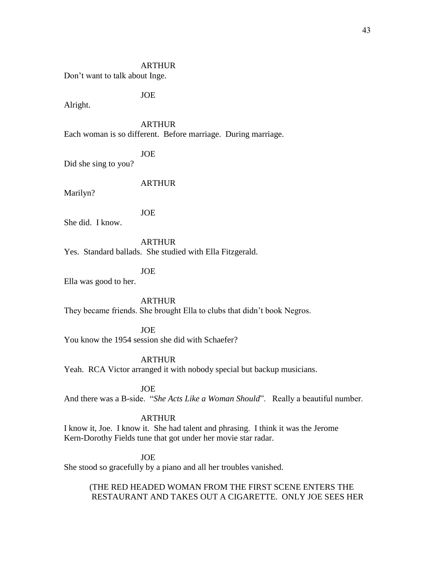Don't want to talk about Inge.

### JOE

Alright.

ARTHUR

Each woman is so different. Before marriage. During marriage.

JOE

Did she sing to you?

### ARTHUR

Marilyn?

JOE

She did. I know.

**ARTHUR** 

Yes. Standard ballads. She studied with Ella Fitzgerald.

JOE

Ella was good to her.

#### ARTHUR

They became friends. She brought Ella to clubs that didn't book Negros.

JOE

You know the 1954 session she did with Schaefer?

ARTHUR

Yeah. RCA Victor arranged it with nobody special but backup musicians.

JOE

And there was a B-side. "*She Acts Like a Woman Should*". Really a beautiful number.

#### ARTHUR

I know it, Joe. I know it. She had talent and phrasing. I think it was the Jerome Kern-Dorothy Fields tune that got under her movie star radar.

JOE

She stood so gracefully by a piano and all her troubles vanished.

(THE RED HEADED WOMAN FROM THE FIRST SCENE ENTERS THE RESTAURANT AND TAKES OUT A CIGARETTE. ONLY JOE SEES HER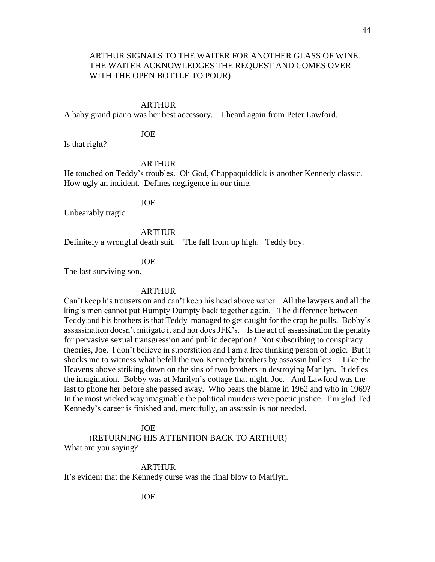### ARTHUR SIGNALS TO THE WAITER FOR ANOTHER GLASS OF WINE. THE WAITER ACKNOWLEDGES THE REQUEST AND COMES OVER WITH THE OPEN BOTTLE TO POUR)

#### ARTHUR

A baby grand piano was her best accessory. I heard again from Peter Lawford.

#### JOE

Is that right?

### ARTHUR

He touched on Teddy's troubles. Oh God, Chappaquiddick is another Kennedy classic. How ugly an incident. Defines negligence in our time.

#### **JOE**

Unbearably tragic.

#### ARTHUR

Definitely a wrongful death suit. The fall from up high. Teddy boy.

#### JOE

The last surviving son.

#### ARTHUR

Can't keep his trousers on and can't keep his head above water. All the lawyers and all the king's men cannot put Humpty Dumpty back together again. The difference between Teddy and his brothers is that Teddy managed to get caught for the crap he pulls. Bobby's assassination doesn't mitigate it and nor does JFK's. Is the act of assassination the penalty for pervasive sexual transgression and public deception? Not subscribing to conspiracy theories, Joe. I don't believe in superstition and I am a free thinking person of logic. But it shocks me to witness what befell the two Kennedy brothers by assassin bullets. Like the Heavens above striking down on the sins of two brothers in destroying Marilyn. It defies the imagination. Bobby was at Marilyn's cottage that night, Joe. And Lawford was the last to phone her before she passed away. Who bears the blame in 1962 and who in 1969? In the most wicked way imaginable the political murders were poetic justice. I'm glad Ted Kennedy's career is finished and, mercifully, an assassin is not needed.

#### JOE

(RETURNING HIS ATTENTION BACK TO ARTHUR) What are you saying?

#### ARTHUR

It's evident that the Kennedy curse was the final blow to Marilyn.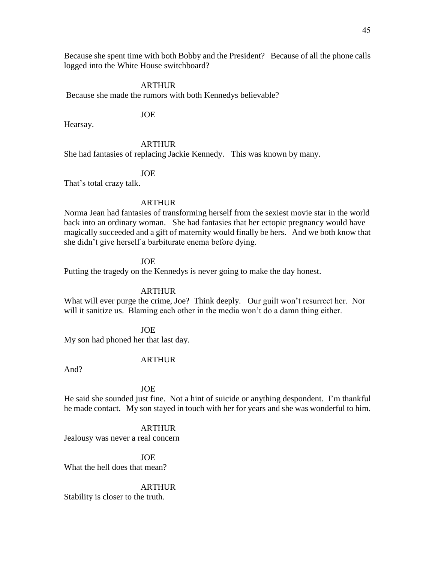Because she spent time with both Bobby and the President? Because of all the phone calls logged into the White House switchboard?

ARTHUR

Because she made the rumors with both Kennedys believable?

#### JOE

Hearsay.

ARTHUR She had fantasies of replacing Jackie Kennedy. This was known by many.

#### JOE

That's total crazy talk.

#### **ARTHUR**

Norma Jean had fantasies of transforming herself from the sexiest movie star in the world back into an ordinary woman. She had fantasies that her ectopic pregnancy would have magically succeeded and a gift of maternity would finally be hers. And we both know that she didn't give herself a barbiturate enema before dying.

### JOE

Putting the tragedy on the Kennedys is never going to make the day honest.

#### ARTHUR

What will ever purge the crime, Joe? Think deeply. Our guilt won't resurrect her. Nor will it sanitize us. Blaming each other in the media won't do a damn thing either.

JOE

My son had phoned her that last day.

#### ARTHUR

And?

#### JOE

He said she sounded just fine. Not a hint of suicide or anything despondent. I'm thankful he made contact. My son stayed in touch with her for years and she was wonderful to him.

#### ARTHUR

Jealousy was never a real concern

JOE What the hell does that mean?

#### ARTHUR

Stability is closer to the truth.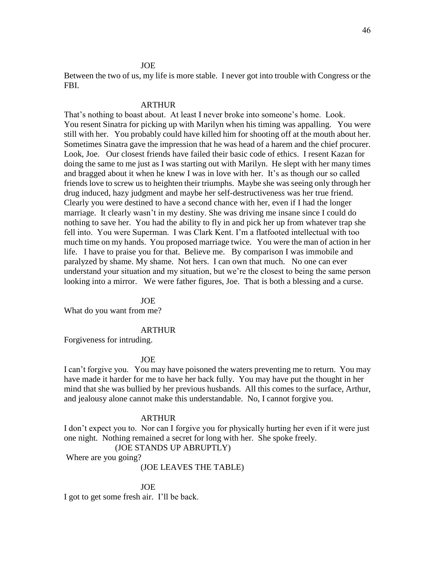Between the two of us, my life is more stable. I never got into trouble with Congress or the FBI.

#### ARTHUR

That's nothing to boast about. At least I never broke into someone's home. Look. You resent Sinatra for picking up with Marilyn when his timing was appalling. You were still with her. You probably could have killed him for shooting off at the mouth about her. Sometimes Sinatra gave the impression that he was head of a harem and the chief procurer. Look, Joe. Our closest friends have failed their basic code of ethics. I resent Kazan for doing the same to me just as I was starting out with Marilyn. He slept with her many times and bragged about it when he knew I was in love with her. It's as though our so called friends love to screw us to heighten their triumphs. Maybe she was seeing only through her drug induced, hazy judgment and maybe her self-destructiveness was her true friend. Clearly you were destined to have a second chance with her, even if I had the longer marriage. It clearly wasn't in my destiny. She was driving me insane since I could do nothing to save her. You had the ability to fly in and pick her up from whatever trap she fell into. You were Superman. I was Clark Kent. I'm a flatfooted intellectual with too much time on my hands. You proposed marriage twice. You were the man of action in her life. I have to praise you for that. Believe me. By comparison I was immobile and paralyzed by shame. My shame. Not hers. I can own that much. No one can ever understand your situation and my situation, but we're the closest to being the same person looking into a mirror. We were father figures, Joe. That is both a blessing and a curse.

#### JOE

What do you want from me?

#### ARTHUR

Forgiveness for intruding.

#### JOE

I can't forgive you. You may have poisoned the waters preventing me to return. You may have made it harder for me to have her back fully. You may have put the thought in her mind that she was bullied by her previous husbands. All this comes to the surface, Arthur, and jealousy alone cannot make this understandable. No, I cannot forgive you.

#### ARTHUR

I don't expect you to. Nor can I forgive you for physically hurting her even if it were just one night. Nothing remained a secret for long with her. She spoke freely.

(JOE STANDS UP ABRUPTLY)

Where are you going?

(JOE LEAVES THE TABLE)

#### JOE

I got to get some fresh air. I'll be back.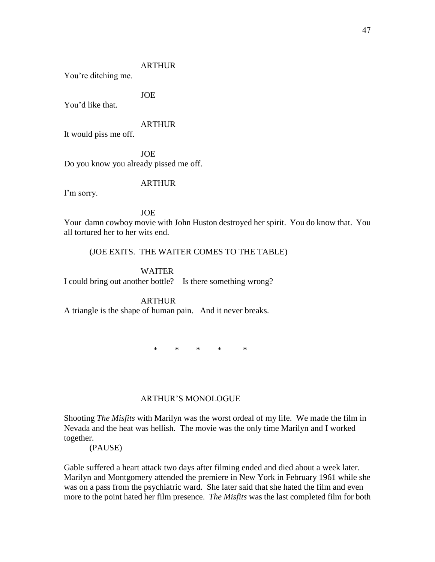You're ditching me.

JOE

You'd like that.

#### ARTHUR

It would piss me off.

**JOE** Do you know you already pissed me off.

### ARTHUR

I'm sorry.

JOE

Your damn cowboy movie with John Huston destroyed her spirit. You do know that. You all tortured her to her wits end.

(JOE EXITS. THE WAITER COMES TO THE TABLE)

WAITER

I could bring out another bottle? Is there something wrong?

ARTHUR A triangle is the shape of human pain. And it never breaks.

\* \* \* \* \*

### ARTHUR'S MONOLOGUE

Shooting *The Misfits* with Marilyn was the worst ordeal of my life. We made the film in Nevada and the heat was hellish. The movie was the only time Marilyn and I worked together.

#### (PAUSE)

Gable suffered a heart attack two days after filming ended and died about a week later. Marilyn and Montgomery attended the premiere in New York in February 1961 while she was on a pass from the psychiatric ward. She later said that she hated the film and even more to the point hated her film presence. *The Misfits* was the last completed film for both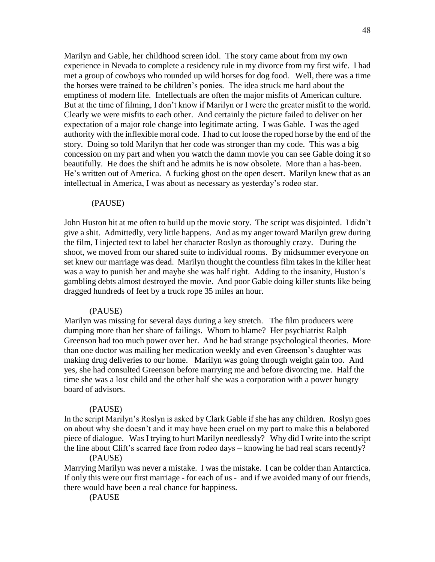Marilyn and Gable, her childhood screen idol. The story came about from my own experience in Nevada to complete a residency rule in my divorce from my first wife. I had met a group of cowboys who rounded up wild horses for dog food. Well, there was a time the horses were trained to be children's ponies. The idea struck me hard about the emptiness of modern life. Intellectuals are often the major misfits of American culture. But at the time of filming, I don't know if Marilyn or I were the greater misfit to the world. Clearly we were misfits to each other. And certainly the picture failed to deliver on her expectation of a major role change into legitimate acting. I was Gable. I was the aged authority with the inflexible moral code. I had to cut loose the roped horse by the end of the story. Doing so told Marilyn that her code was stronger than my code. This was a big concession on my part and when you watch the damn movie you can see Gable doing it so beautifully. He does the shift and he admits he is now obsolete. More than a has-been. He's written out of America. A fucking ghost on the open desert. Marilyn knew that as an intellectual in America, I was about as necessary as yesterday's rodeo star.

#### (PAUSE)

John Huston hit at me often to build up the movie story. The script was disjointed. I didn't give a shit. Admittedly, very little happens. And as my anger toward Marilyn grew during the film, I injected text to label her character Roslyn as thoroughly crazy. During the shoot, we moved from our shared suite to individual rooms. By midsummer everyone on set knew our marriage was dead. Marilyn thought the countless film takes in the killer heat was a way to punish her and maybe she was half right. Adding to the insanity, Huston's gambling debts almost destroyed the movie. And poor Gable doing killer stunts like being dragged hundreds of feet by a truck rope 35 miles an hour.

#### (PAUSE)

Marilyn was missing for several days during a key stretch. The film producers were dumping more than her share of failings. Whom to blame? Her psychiatrist Ralph Greenson had too much power over her. And he had strange psychological theories. More than one doctor was mailing her medication weekly and even Greenson's daughter was making drug deliveries to our home. Marilyn was going through weight gain too. And yes, she had consulted Greenson before marrying me and before divorcing me. Half the time she was a lost child and the other half she was a corporation with a power hungry board of advisors.

#### (PAUSE)

In the script Marilyn's Roslyn is asked by Clark Gable if she has any children. Roslyn goes on about why she doesn't and it may have been cruel on my part to make this a belabored piece of dialogue. Was I trying to hurt Marilyn needlessly? Why did I write into the script the line about Clift's scarred face from rodeo days – knowing he had real scars recently?

### (PAUSE)

Marrying Marilyn was never a mistake. I was the mistake. I can be colder than Antarctica. If only this were our first marriage - for each of us - and if we avoided many of our friends, there would have been a real chance for happiness.

(PAUSE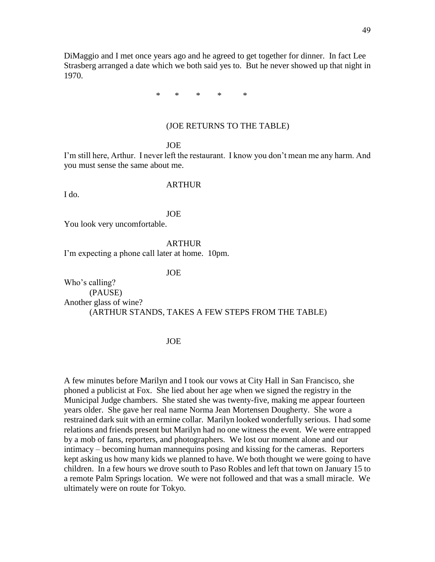DiMaggio and I met once years ago and he agreed to get together for dinner. In fact Lee Strasberg arranged a date which we both said yes to. But he never showed up that night in 1970.

\* \* \* \* \*

#### (JOE RETURNS TO THE TABLE)

JOE

I'm still here, Arthur. I never left the restaurant. I know you don't mean me any harm. And you must sense the same about me.

#### ARTHUR

I do.

JOE

You look very uncomfortable.

ARTHUR

I'm expecting a phone call later at home. 10pm.

JOE

Who's calling? (PAUSE) Another glass of wine? (ARTHUR STANDS, TAKES A FEW STEPS FROM THE TABLE)

#### JOE

A few minutes before Marilyn and I took our vows at City Hall in San Francisco, she phoned a publicist at Fox. She lied about her age when we signed the registry in the Municipal Judge chambers. She stated she was twenty-five, making me appear fourteen years older. She gave her real name Norma Jean Mortensen Dougherty. She wore a restrained dark suit with an ermine collar. Marilyn looked wonderfully serious. I had some relations and friends present but Marilyn had no one witness the event. We were entrapped by a mob of fans, reporters, and photographers. We lost our moment alone and our intimacy – becoming human mannequins posing and kissing for the cameras. Reporters kept asking us how many kids we planned to have. We both thought we were going to have children. In a few hours we drove south to Paso Robles and left that town on January 15 to a remote Palm Springs location. We were not followed and that was a small miracle. We ultimately were on route for Tokyo.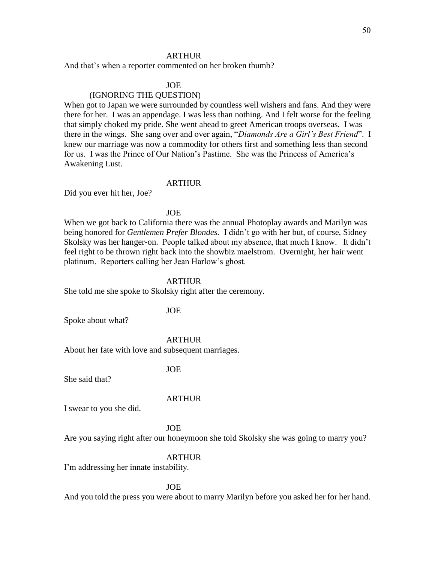And that's when a reporter commented on her broken thumb?

### JOE

### (IGNORING THE QUESTION)

When got to Japan we were surrounded by countless well wishers and fans. And they were there for her. I was an appendage. I was less than nothing. And I felt worse for the feeling that simply choked my pride. She went ahead to greet American troops overseas. I was there in the wings. She sang over and over again, "*Diamonds Are a Girl's Best Friend*". I knew our marriage was now a commodity for others first and something less than second for us. I was the Prince of Our Nation's Pastime. She was the Princess of America's Awakening Lust.

### ARTHUR

Did you ever hit her, Joe?

JOE

When we got back to California there was the annual Photoplay awards and Marilyn was being honored for *Gentlemen Prefer Blondes.* I didn't go with her but, of course, Sidney Skolsky was her hanger-on. People talked about my absence, that much I know. It didn't feel right to be thrown right back into the showbiz maelstrom. Overnight, her hair went platinum. Reporters calling her Jean Harlow's ghost.

### ARTHUR

She told me she spoke to Skolsky right after the ceremony.

#### JOE

Spoke about what?

#### ARTHUR

About her fate with love and subsequent marriages.

#### JOE

She said that?

#### ARTHUR

I swear to you she did.

### JOE

Are you saying right after our honeymoon she told Skolsky she was going to marry you?

### ARTHUR

I'm addressing her innate instability.

#### JOE

And you told the press you were about to marry Marilyn before you asked her for her hand.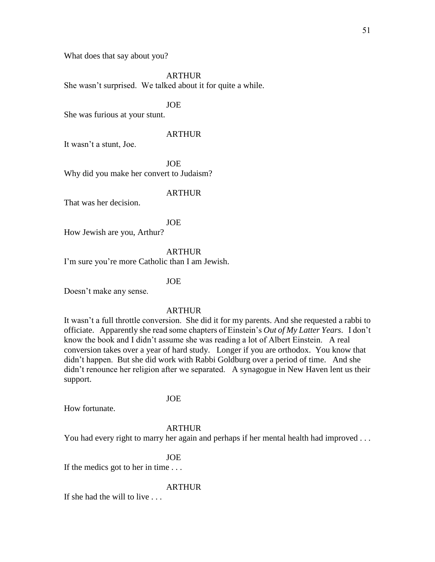What does that say about you?

**ARTHUR** 

She wasn't surprised. We talked about it for quite a while.

JOE

She was furious at your stunt.

#### ARTHUR

It wasn't a stunt, Joe.

JOE

Why did you make her convert to Judaism?

#### ARTHUR

That was her decision.

JOE

How Jewish are you, Arthur?

### ARTHUR

I'm sure you're more Catholic than I am Jewish.

#### JOE

Doesn't make any sense.

#### ARTHUR

It wasn't a full throttle conversion. She did it for my parents. And she requested a rabbi to officiate. Apparently she read some chapters of Einstein's *Out of My Latter Years*. I don't know the book and I didn't assume she was reading a lot of Albert Einstein. A real conversion takes over a year of hard study. Longer if you are orthodox. You know that didn't happen. But she did work with Rabbi Goldburg over a period of time. And she didn't renounce her religion after we separated. A synagogue in New Haven lent us their support.

### JOE

How fortunate.

#### ARTHUR

You had every right to marry her again and perhaps if her mental health had improved . . .

#### JOE

If the medics got to her in time . . .

#### ARTHUR

If she had the will to live . . .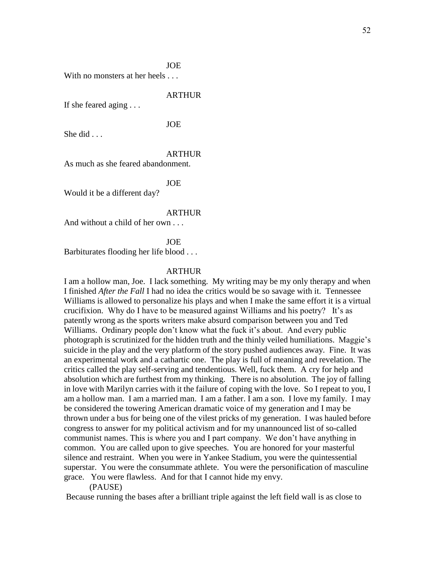With no monsters at her heels . . .

### ARTHUR

If she feared aging . . .

#### JOE

She did . . .

#### **ARTHUR**

As much as she feared abandonment.

JOE

Would it be a different day?

#### ARTHUR

And without a child of her own . . .

JOE

Barbiturates flooding her life blood . . .

#### ARTHUR

I am a hollow man, Joe. I lack something. My writing may be my only therapy and when I finished *After the Fall* I had no idea the critics would be so savage with it. Tennessee Williams is allowed to personalize his plays and when I make the same effort it is a virtual crucifixion. Why do I have to be measured against Williams and his poetry? It's as patently wrong as the sports writers make absurd comparison between you and Ted Williams. Ordinary people don't know what the fuck it's about. And every public photograph is scrutinized for the hidden truth and the thinly veiled humiliations. Maggie's suicide in the play and the very platform of the story pushed audiences away. Fine. It was an experimental work and a cathartic one. The play is full of meaning and revelation. The critics called the play self-serving and tendentious. Well, fuck them. A cry for help and absolution which are furthest from my thinking. There is no absolution. The joy of falling in love with Marilyn carries with it the failure of coping with the love. So I repeat to you, I am a hollow man. I am a married man. I am a father. I am a son. I love my family. I may be considered the towering American dramatic voice of my generation and I may be thrown under a bus for being one of the vilest pricks of my generation. I was hauled before congress to answer for my political activism and for my unannounced list of so-called communist names. This is where you and I part company. We don't have anything in common. You are called upon to give speeches. You are honored for your masterful silence and restraint. When you were in Yankee Stadium, you were the quintessential superstar. You were the consummate athlete. You were the personification of masculine grace. You were flawless. And for that I cannot hide my envy.

(PAUSE)

Because running the bases after a brilliant triple against the left field wall is as close to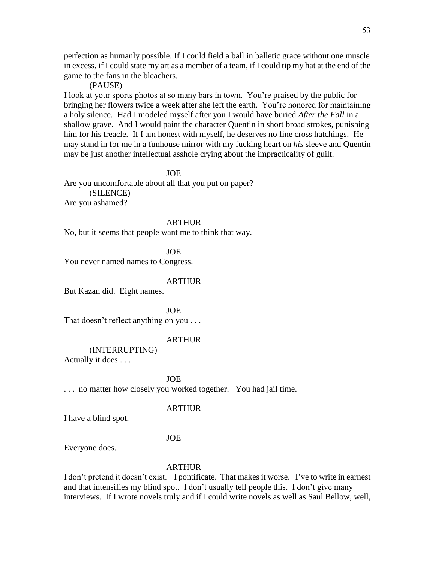perfection as humanly possible. If I could field a ball in balletic grace without one muscle in excess, if I could state my art as a member of a team, if I could tip my hat at the end of the game to the fans in the bleachers.

(PAUSE)

I look at your sports photos at so many bars in town. You're praised by the public for bringing her flowers twice a week after she left the earth. You're honored for maintaining a holy silence. Had I modeled myself after you I would have buried *After the Fall* in a shallow grave. And I would paint the character Quentin in short broad strokes, punishing him for his treacle. If I am honest with myself, he deserves no fine cross hatchings. He may stand in for me in a funhouse mirror with my fucking heart on *his* sleeve and Quentin may be just another intellectual asshole crying about the impracticality of guilt.

JOE

Are you uncomfortable about all that you put on paper? (SILENCE) Are you ashamed?

### ARTHUR

No, but it seems that people want me to think that way.

**JOE** 

You never named names to Congress.

### ARTHUR

But Kazan did. Eight names.

JOE

That doesn't reflect anything on you ...

### ARTHUR

(INTERRUPTING)

Actually it does . . .

JOE

. . . no matter how closely you worked together. You had jail time.

### ARTHUR

I have a blind spot.

### JOE

Everyone does.

### ARTHUR

I don't pretend it doesn't exist. I pontificate. That makes it worse. I've to write in earnest and that intensifies my blind spot. I don't usually tell people this. I don't give many interviews. If I wrote novels truly and if I could write novels as well as Saul Bellow, well,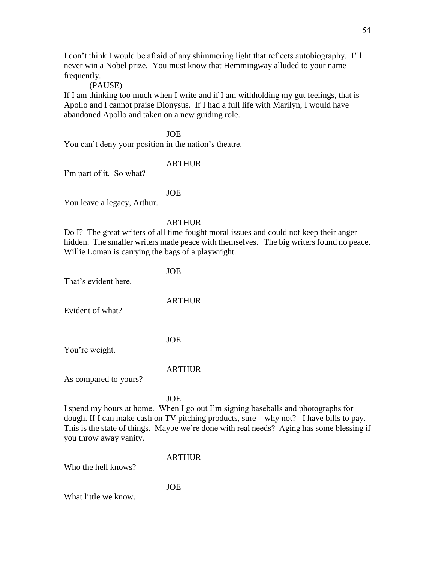I don't think I would be afraid of any shimmering light that reflects autobiography. I'll never win a Nobel prize. You must know that Hemmingway alluded to your name frequently.

(PAUSE)

If I am thinking too much when I write and if I am withholding my gut feelings, that is Apollo and I cannot praise Dionysus. If I had a full life with Marilyn, I would have abandoned Apollo and taken on a new guiding role.

### JOE

You can't deny your position in the nation's theatre.

### ARTHUR

I'm part of it. So what?

JOE

You leave a legacy, Arthur.

### ARTHUR

Do I? The great writers of all time fought moral issues and could not keep their anger hidden. The smaller writers made peace with themselves. The big writers found no peace. Willie Loman is carrying the bags of a playwright.

**JOE** 

That's evident here.

ARTHUR

Evident of what?

JOE

You're weight.

### **ARTHUR**

As compared to yours?

JOE

I spend my hours at home. When I go out I'm signing baseballs and photographs for dough. If I can make cash on TV pitching products, sure – why not? I have bills to pay. This is the state of things. Maybe we're done with real needs? Aging has some blessing if you throw away vanity.

ARTHUR

Who the hell knows?

JOE

What little we know.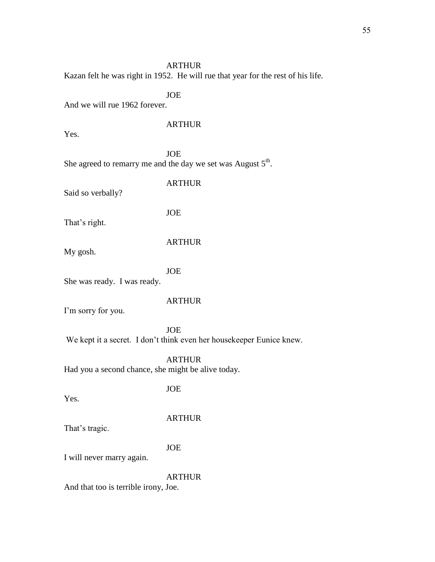Kazan felt he was right in 1952. He will rue that year for the rest of his life.

### JOE

And we will rue 1962 forever.

#### ARTHUR

Yes.

JOE She agreed to remarry me and the day we set was August  $5<sup>th</sup>$ .

### ARTHUR

Said so verbally?

JOE

That's right.

### ARTHUR

My gosh.

### JOE

She was ready. I was ready.

### ARTHUR

I'm sorry for you.

### JOE

We kept it a secret. I don't think even her housekeeper Eunice knew.

### ARTHUR

Had you a second chance, she might be alive today.

### JOE

Yes.

### ARTHUR

That's tragic.

#### JOE

I will never marry again.

### ARTHUR And that too is terrible irony, Joe.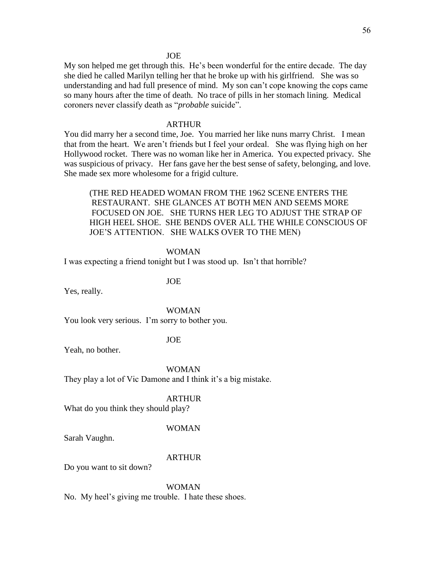My son helped me get through this. He's been wonderful for the entire decade. The day she died he called Marilyn telling her that he broke up with his girlfriend. She was so understanding and had full presence of mind. My son can't cope knowing the cops came so many hours after the time of death. No trace of pills in her stomach lining. Medical coroners never classify death as "*probable* suicide".

#### ARTHUR

You did marry her a second time, Joe. You married her like nuns marry Christ. I mean that from the heart. We aren't friends but I feel your ordeal. She was flying high on her Hollywood rocket. There was no woman like her in America. You expected privacy. She was suspicious of privacy. Her fans gave her the best sense of safety, belonging, and love. She made sex more wholesome for a frigid culture.

### (THE RED HEADED WOMAN FROM THE 1962 SCENE ENTERS THE RESTAURANT. SHE GLANCES AT BOTH MEN AND SEEMS MORE FOCUSED ON JOE. SHE TURNS HER LEG TO ADJUST THE STRAP OF HIGH HEEL SHOE. SHE BENDS OVER ALL THE WHILE CONSCIOUS OF JOE'S ATTENTION. SHE WALKS OVER TO THE MEN)

### WOMAN

I was expecting a friend tonight but I was stood up. Isn't that horrible?

JOE

Yes, really.

WOMAN

You look very serious. I'm sorry to bother you.

### JOE

Yeah, no bother.

WOMAN

They play a lot of Vic Damone and I think it's a big mistake.

#### ARTHUR

What do you think they should play?

#### WOMAN

Sarah Vaughn.

### ARTHUR

Do you want to sit down?

WOMAN

No. My heel's giving me trouble. I hate these shoes.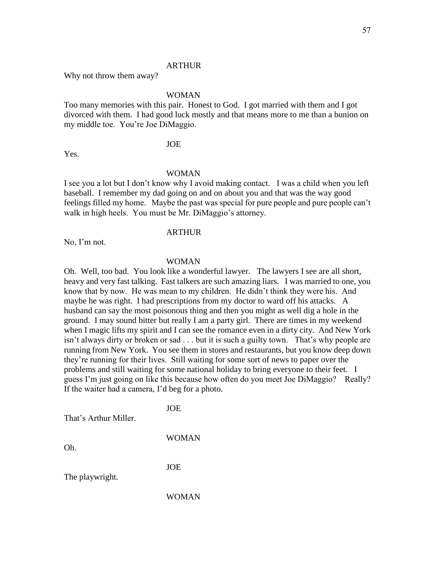Why not throw them away?

### WOMAN

Too many memories with this pair. Honest to God. I got married with them and I got divorced with them. I had good luck mostly and that means more to me than a bunion on my middle toe. You're Joe DiMaggio.

#### JOE

Yes.

#### WOMAN

I see you a lot but I don't know why I avoid making contact. I was a child when you left baseball. I remember my dad going on and on about you and that was the way good feelings filled my home. Maybe the past was special for pure people and pure people can't walk in high heels. You must be Mr. DiMaggio's attorney.

### ARTHUR

No, I'm not.

#### WOMAN

Oh. Well, too bad. You look like a wonderful lawyer. The lawyers I see are all short, heavy and very fast talking. Fast talkers are such amazing liars. I was married to one, you know that by now. He was mean to my children. He didn't think they were his. And maybe he was right. I had prescriptions from my doctor to ward off his attacks. A husband can say the most poisonous thing and then you might as well dig a hole in the ground. I may sound bitter but really I am a party girl. There are times in my weekend when I magic lifts my spirit and I can see the romance even in a dirty city. And New York isn't always dirty or broken or sad . . . but it is such a guilty town. That's why people are running from New York. You see them in stores and restaurants, but you know deep down they're running for their lives. Still waiting for some sort of news to paper over the problems and still waiting for some national holiday to bring everyone to their feet. I guess I'm just going on like this because how often do you meet Joe DiMaggio? Really? If the waiter had a camera, I'd beg for a photo.

JOE

That's Arthur Miller.

WOMAN

Oh.

JOE

The playwright.

WOMAN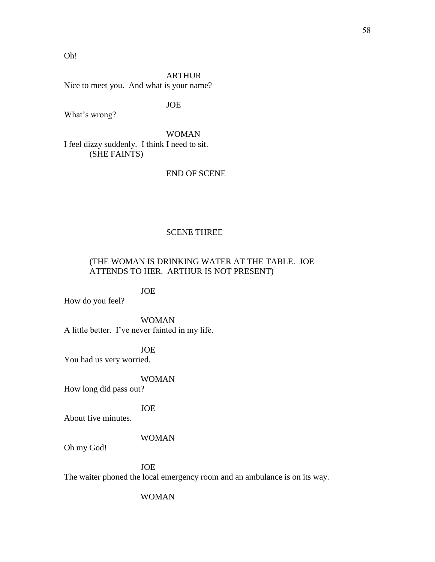Nice to meet you. And what is your name?

JOE

ARTHUR

What's wrong?

Oh!

WOMAN I feel dizzy suddenly. I think I need to sit. (SHE FAINTS)

### END OF SCENE

### SCENE THREE

### (THE WOMAN IS DRINKING WATER AT THE TABLE. JOE ATTENDS TO HER. ARTHUR IS NOT PRESENT)

JOE

How do you feel?

WOMAN A little better. I've never fainted in my life.

JOE

You had us very worried.

WOMAN

How long did pass out?

JOE

About five minutes.

### WOMAN

Oh my God!

JOE

The waiter phoned the local emergency room and an ambulance is on its way.

WOMAN

58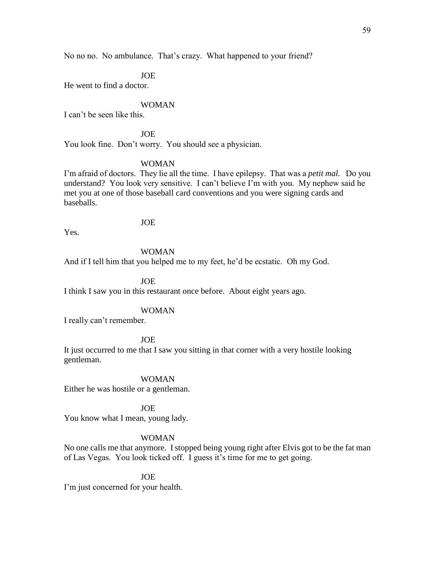No no no. No ambulance. That's crazy. What happened to your friend?

JOE

He went to find a doctor.

### WOMAN

I can't be seen like this.

JOE

You look fine. Don't worry. You should see a physician.

### WOMAN

I'm afraid of doctors. They lie all the time. I have epilepsy. That was a *petit mal.* Do you understand? You look very sensitive. I can't believe I'm with you. My nephew said he met you at one of those baseball card conventions and you were signing cards and baseballs.

### JOE

Yes.

### WOMAN

And if I tell him that you helped me to my feet, he'd be ecstatic. Oh my God.

JOE

I think I saw you in this restaurant once before. About eight years ago.

#### WOMAN

I really can't remember.

JOE

It just occurred to me that I saw you sitting in that corner with a very hostile looking gentleman.

### WOMAN

Either he was hostile or a gentleman.

#### JOE

You know what I mean, young lady.

### WOMAN

No one calls me that anymore. I stopped being young right after Elvis got to be the fat man of Las Vegas. You look ticked off. I guess it's time for me to get going.

#### JOE

I'm just concerned for your health.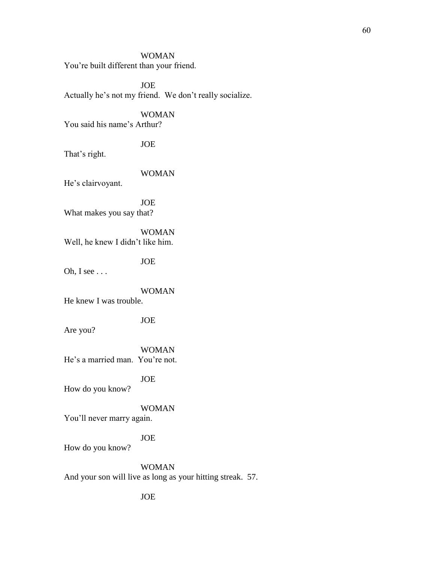## WOMAN

You're built different than your friend.

JOE Actually he's not my friend. We don't really socialize.

WOMAN You said his name's Arthur?

JOE

That's right.

WOMAN

He's clairvoyant.

JOE What makes you say that?

WOMAN Well, he knew I didn't like him.

Oh, I see  $\ldots$ 

WOMAN He knew I was trouble.

JOE

JOE

Are you?

WOMAN He's a married man. You're not.

JOE

How do you know?

WOMAN You'll never marry again.

JOE

How do you know?

WOMAN

And your son will live as long as your hitting streak. 57.

JOE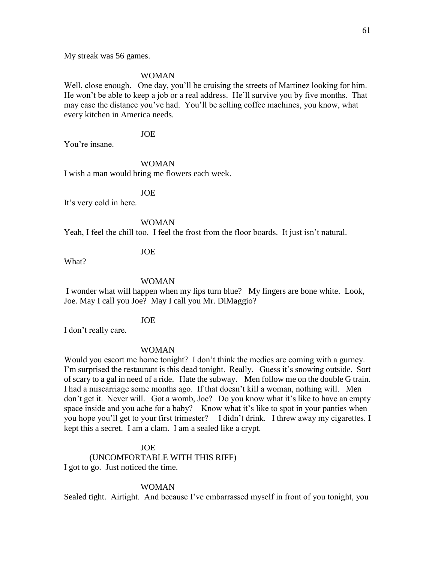My streak was 56 games.

#### WOMAN

Well, close enough. One day, you'll be cruising the streets of Martinez looking for him. He won't be able to keep a job or a real address. He'll survive you by five months. That may ease the distance you've had. You'll be selling coffee machines, you know, what every kitchen in America needs.

#### JOE

You're insane.

### WOMAN

I wish a man would bring me flowers each week.

#### JOE

It's very cold in here.

### WOMAN

Yeah, I feel the chill too. I feel the frost from the floor boards. It just isn't natural.

#### JOE

What?

#### WOMAN

I wonder what will happen when my lips turn blue? My fingers are bone white. Look, Joe. May I call you Joe? May I call you Mr. DiMaggio?

#### JOE

I don't really care.

### WOMAN

Would you escort me home tonight? I don't think the medics are coming with a gurney. I'm surprised the restaurant is this dead tonight. Really. Guess it's snowing outside. Sort of scary to a gal in need of a ride. Hate the subway. Men follow me on the double G train. I had a miscarriage some months ago. If that doesn't kill a woman, nothing will. Men don't get it. Never will. Got a womb, Joe? Do you know what it's like to have an empty space inside and you ache for a baby? Know what it's like to spot in your panties when you hope you'll get to your first trimester? I didn't drink. I threw away my cigarettes. I kept this a secret. I am a clam. I am a sealed like a crypt.

#### JOE

# (UNCOMFORTABLE WITH THIS RIFF)

I got to go. Just noticed the time.

#### WOMAN

Sealed tight. Airtight. And because I've embarrassed myself in front of you tonight, you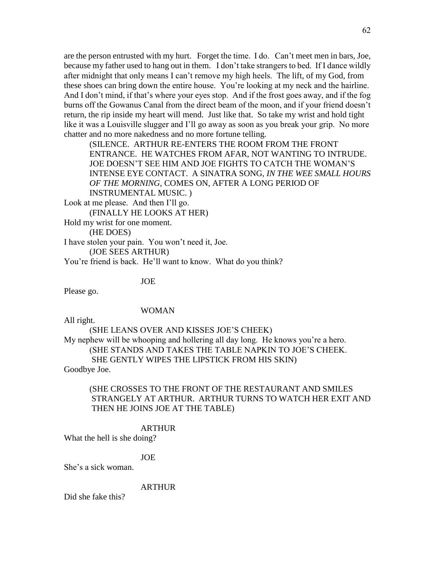are the person entrusted with my hurt. Forget the time. I do. Can't meet men in bars, Joe, because my father used to hang out in them. I don't take strangers to bed. If I dance wildly after midnight that only means I can't remove my high heels. The lift, of my God, from these shoes can bring down the entire house. You're looking at my neck and the hairline. And I don't mind, if that's where your eyes stop. And if the frost goes away, and if the fog burns off the Gowanus Canal from the direct beam of the moon, and if your friend doesn't return, the rip inside my heart will mend. Just like that. So take my wrist and hold tight like it was a Louisville slugger and I'll go away as soon as you break your grip. No more chatter and no more nakedness and no more fortune telling.

(SILENCE. ARTHUR RE-ENTERS THE ROOM FROM THE FRONT ENTRANCE. HE WATCHES FROM AFAR, NOT WANTING TO INTRUDE. JOE DOESN'T SEE HIM AND JOE FIGHTS TO CATCH THE WOMAN'S INTENSE EYE CONTACT. A SINATRA SONG, *IN THE WEE SMALL HOURS OF THE MORNING*, COMES ON, AFTER A LONG PERIOD OF INSTRUMENTAL MUSIC. )

Look at me please. And then I'll go. (FINALLY HE LOOKS AT HER) Hold my wrist for one moment.

(HE DOES)

I have stolen your pain. You won't need it, Joe.

(JOE SEES ARTHUR)

You're friend is back. He'll want to know. What do you think?

JOE

Please go.

#### WOMAN

All right.

(SHE LEANS OVER AND KISSES JOE'S CHEEK) My nephew will be whooping and hollering all day long. He knows you're a hero. (SHE STANDS AND TAKES THE TABLE NAPKIN TO JOE'S CHEEK. SHE GENTLY WIPES THE LIPSTICK FROM HIS SKIN) Goodbye Joe.

### (SHE CROSSES TO THE FRONT OF THE RESTAURANT AND SMILES STRANGELY AT ARTHUR. ARTHUR TURNS TO WATCH HER EXIT AND THEN HE JOINS JOE AT THE TABLE)

#### ARTHUR

What the hell is she doing?

#### JOE

She's a sick woman.

#### ARTHUR

Did she fake this?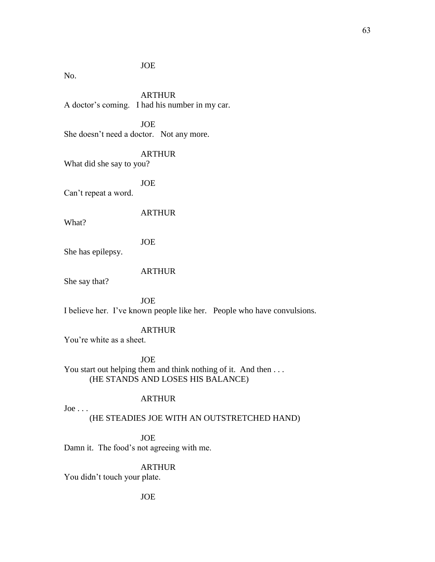No.

ARTHUR A doctor's coming. I had his number in my car.

JOE She doesn't need a doctor. Not any more.

### ARTHUR What did she say to you?

Can't repeat a word.

ARTHUR

What?

JOE

JOE

She has epilepsy.

### ARTHUR

She say that?

JOE I believe her. I've known people like her. People who have convulsions.

### ARTHUR

You're white as a sheet.

JOE

You start out helping them and think nothing of it. And then . . . (HE STANDS AND LOSES HIS BALANCE)

### ARTHUR

 $Joe \dots$ 

### (HE STEADIES JOE WITH AN OUTSTRETCHED HAND)

JOE Damn it. The food's not agreeing with me.

#### ARTHUR

You didn't touch your plate.

### JOE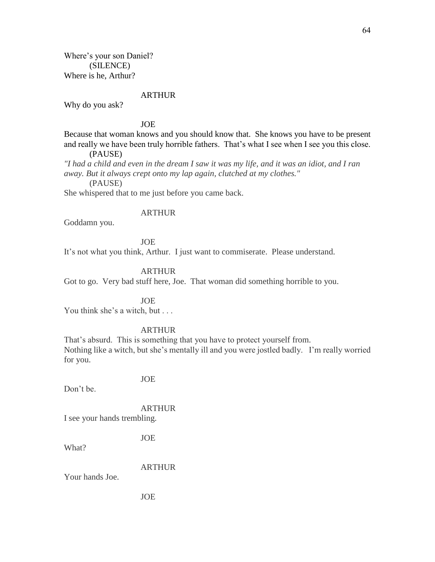Where's your son Daniel? (SILENCE) Where is he, Arthur?

Why do you ask?

## JOE

ARTHUR

Because that woman knows and you should know that. She knows you have to be present and really we have been truly horrible fathers. That's what I see when I see you this close. (PAUSE)

*"I had a child and even in the dream I saw it was my life, and it was an idiot, and I ran away. But it always crept onto my lap again, clutched at my clothes."* 

(PAUSE)

She whispered that to me just before you came back.

#### ARTHUR

Goddamn you.

#### JOE

It's not what you think, Arthur. I just want to commiserate. Please understand.

### ARTHUR

Got to go. Very bad stuff here, Joe. That woman did something horrible to you.

#### JOE

You think she's a witch, but . . .

#### ARTHUR

That's absurd. This is something that you have to protect yourself from. Nothing like a witch, but she's mentally ill and you were jostled badly. I'm really worried for you.

Don't be.

### ARTHUR

I see your hands trembling.

### JOE

JOE

What?

#### ARTHUR

Your hands Joe.

JOE